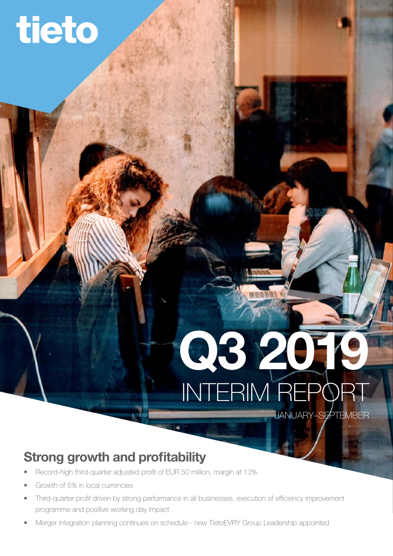# tieto

# INTERIM REPORT Q3 2019

JANUARY–SEPTEMBER

# Strong growth and profitability

- Record-high third-quarter adjusted profit of EUR 50 million, margin at 13%
- Growth of 5% in local currencies
- Third-quarter profit driven by strong performance in all businesses, execution of efficiency improvement programme and positive working day impact
- Merger integration planning continues on schedule new TietoEVRY Group Leadership appointed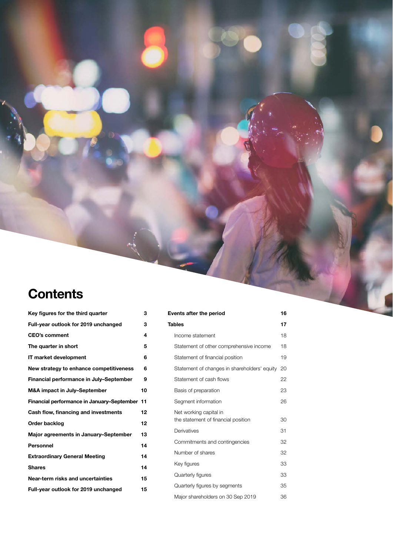# **Contents**

| Key figures for the third quarter             | з  |
|-----------------------------------------------|----|
| Full-year outlook for 2019 unchanged          | 3  |
| <b>CEO's comment</b>                          | 4  |
| The quarter in short                          | 5  |
| IT market development                         | 6  |
| New strategy to enhance competitiveness       | 6  |
| Financial performance in July-September       | 9  |
| M&A impact in July-September                  | 10 |
| Financial performance in January-September 11 |    |
| Cash flow, financing and investments          | 12 |
| Order backlog                                 | 12 |
| Major agreements in January-September         | 13 |
| Personnel                                     | 14 |
| <b>Extraordinary General Meeting</b>          | 14 |
| <b>Shares</b>                                 | 14 |
| Near-term risks and uncertainties             | 15 |
| Full-year outlook for 2019 unchanged          | 15 |
|                                               |    |

| <b>Events after the period</b>                                | 16 |
|---------------------------------------------------------------|----|
| <b>Tables</b>                                                 | 17 |
| Income statement                                              | 18 |
| Statement of other comprehensive income                       | 18 |
| Statement of financial position                               | 19 |
| Statement of changes in shareholders' equity                  | 20 |
| Statement of cash flows                                       | 22 |
| Basis of preparation                                          | 23 |
| Segment information                                           | 26 |
| Net working capital in<br>the statement of financial position | 30 |
| Derivatives                                                   | 31 |
| Commitments and contingencies                                 | 32 |
| Number of shares                                              | 32 |
| Key figures                                                   | 33 |
| Quarterly figures                                             | 33 |
| Quarterly figures by segments                                 | 35 |
| Major shareholders on 30 Sep 2019                             | 36 |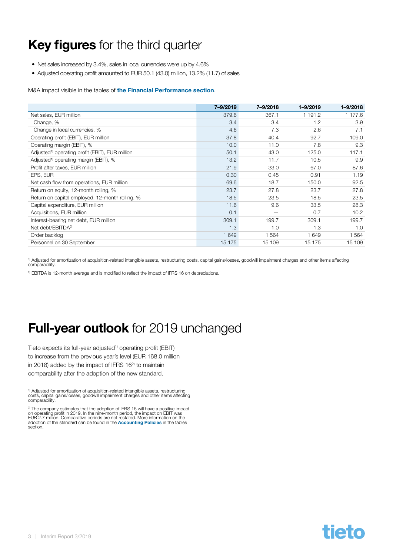# <span id="page-2-0"></span>Key figures for the third quarter

- Net sales increased by 3.4%, sales in local currencies were up by 4.6%
- Adjusted operating profit amounted to EUR 50.1 (43.0) million, 13.2% (11.7) of sales

M&A impact visible in the tables of [the Financial Performance section](#page-8-0).

|                                                             | 7-9/2019 | 7-9/2018 | 1-9/2019 | $1 - 9/2018$ |
|-------------------------------------------------------------|----------|----------|----------|--------------|
| Net sales, EUR million                                      | 379.6    | 367.1    | 1 191.2  | 1 177.6      |
| Change, %                                                   | 3.4      | 3.4      | 1.2      | 3.9          |
| Change in local currencies, %                               | 4.6      | 7.3      | 2.6      | 7.1          |
| Operating profit (EBIT), EUR million                        | 37.8     | 40.4     | 92.7     | 109.0        |
| Operating margin (EBIT), %                                  | 10.0     | 11.0     | 7.8      | 9.3          |
| Adjusted <sup>1)</sup> operating profit (EBIT), EUR million | 50.1     | 43.0     | 125.0    | 117.1        |
| Adjusted <sup>1)</sup> operating margin (EBIT), %           | 13.2     | 11.7     | 10.5     | 9.9          |
| Profit after taxes, EUR million                             | 21.9     | 33.0     | 67.0     | 87.6         |
| EPS, EUR                                                    | 0.30     | 0.45     | 0.91     | 1.19         |
| Net cash flow from operations, EUR million                  | 69.6     | 18.7     | 150.0    | 92.5         |
| Return on equity, 12-month rolling, %                       | 23.7     | 27.8     | 23.7     | 27.8         |
| Return on capital employed, 12-month rolling, %             | 18.5     | 23.5     | 18.5     | 23.5         |
| Capital expenditure, EUR million                            | 11.6     | 9.6      | 33.5     | 28.3         |
| Acquisitions, EUR million                                   | 0.1      |          | 0.7      | 10.2         |
| Interest-bearing net debt, EUR million                      | 309.1    | 199.7    | 309.1    | 199.7        |
| Net debt/EBITDA <sup>2)</sup>                               | 1.3      | 1.0      | 1.3      | 1.0          |
| Order backlog                                               | 1 6 4 9  | 1 564    | 1 649    | 1 5 6 4      |
| Personnel on 30 September                                   | 15 175   | 15 109   | 15 175   | 15 109       |

1) Adjusted for amortization of acquisition-related intangible assets, restructuring costs, capital gains/losses, goodwill impairment charges and other items affecting comparability.

<sup>2)</sup> EBITDA is 12-month average and is modified to reflect the impact of IFRS 16 on depreciations.

# **Full-year outlook** for 2019 unchanged

Tieto expects its full-year adjusted<sup>1)</sup> operating profit (EBIT) to increase from the previous year's level (EUR 168.0 million in 2018) added by the impact of IFRS  $16<sup>2</sup>$  to maintain comparability after the adoption of the new standard.

1) Adjusted for amortization of acquisition-related intangible assets, restructuring costs, capital gains/losses, goodwill impairment charges and other items affecting comparability.

<sup>2)</sup> The company estimates that the adoption of IFRS 16 will have a positive impact<br>on operating profit in 2019. In the nine-month period, the impact on EBIT was<br>EUR 2.7 million. Comparative periods are not restated. More adoption of the standard can be found in the **[Accounting Policies](#page-22-0)** in the tables section.

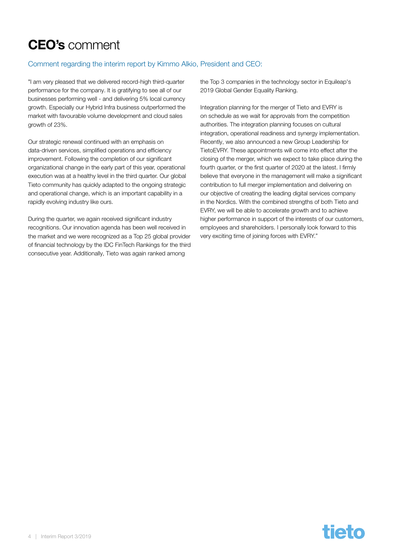# <span id="page-3-0"></span>CEO's comment

#### Comment regarding the interim report by Kimmo Alkio, President and CEO:

"I am very pleased that we delivered record-high third-quarter performance for the company. It is gratifying to see all of our businesses performing well - and delivering 5% local currency growth. Especially our Hybrid Infra business outperformed the market with favourable volume development and cloud sales growth of 23%.

Our strategic renewal continued with an emphasis on data-driven services, simplified operations and efficiency improvement. Following the completion of our significant organizational change in the early part of this year, operational execution was at a healthy level in the third quarter. Our global Tieto community has quickly adapted to the ongoing strategic and operational change, which is an important capability in a rapidly evolving industry like ours.

During the quarter, we again received significant industry recognitions. Our innovation agenda has been well received in the market and we were recognized as a Top 25 global provider of financial technology by the IDC FinTech Rankings for the third consecutive year. Additionally, Tieto was again ranked among

the Top 3 companies in the technology sector in Equileap's 2019 Global Gender Equality Ranking.

Integration planning for the merger of Tieto and EVRY is on schedule as we wait for approvals from the competition authorities. The integration planning focuses on cultural integration, operational readiness and synergy implementation. Recently, we also announced a new Group Leadership for TietoEVRY. These appointments will come into effect after the closing of the merger, which we expect to take place during the fourth quarter, or the first quarter of 2020 at the latest. I firmly believe that everyone in the management will make a significant contribution to full merger implementation and delivering on our objective of creating the leading digital services company in the Nordics. With the combined strengths of both Tieto and EVRY, we will be able to accelerate growth and to achieve higher performance in support of the interests of our customers, employees and shareholders. I personally look forward to this very exciting time of joining forces with EVRY."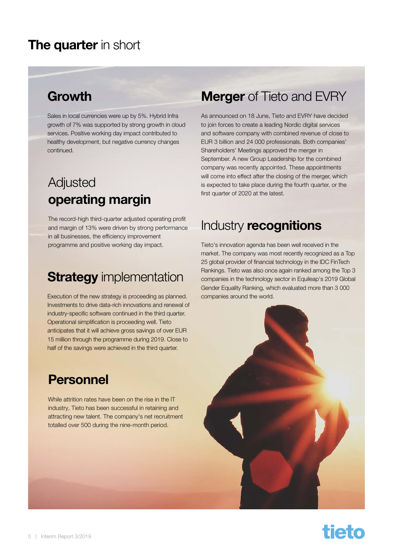### <span id="page-4-0"></span>The quarter in short

### **Growth**

Sales in local currencies were up by 5%. Hybrid Infra growth of 7% was supported by strong growth in cloud services. Positive working day impact contributed to healthy development, but negative currency changes continued.

# Adjusted operating margin

The record-high third-quarter adjusted operating profit and margin of 13% were driven by strong performance in all businesses, the efficiency improvement programme and positive working day impact.

# **Strategy** implementation

Execution of the new strategy is proceeding as planned. Investments to drive data-rich innovations and renewal of industry-specific software continued in the third quarter. Operational simplification is proceeding well. Tieto anticipates that it will achieve gross savings of over EUR 15 million through the programme during 2019. Close to half of the savings were achieved in the third quarter.

### Personnel

While attrition rates have been on the rise in the IT industry, Tieto has been successful in retaining and attracting new talent. The company's net recruitment totalled over 500 during the nine-month period.

### **Merger** of Tieto and EVRY

As announced on 18 June, Tieto and EVRY have decided to join forces to create a leading Nordic digital services and software company with combined revenue of close to EUR 3 billion and 24 000 professionals. Both companies' Shareholders' Meetings approved the merger in September. A new Group Leadership for the combined company was recently appointed. These appointments will come into effect after the closing of the merger, which is expected to take place during the fourth quarter, or the first quarter of 2020 at the latest.

# Industry recognitions

Tieto's innovation agenda has been well received in the market. The company was most recently recognized as a Top 25 global provider of financial technology in the IDC FinTech Rankings. Tieto was also once again ranked among the Top 3 companies in the technology sector in Equileap's 2019 Global Gender Equality Ranking, which evaluated more than 3 000 companies around the world.



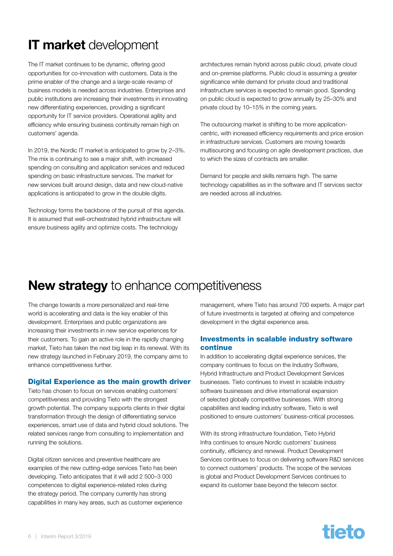# <span id="page-5-0"></span>IT market development

The IT market continues to be dynamic, offering good opportunities for co-innovation with customers. Data is the prime enabler of the change and a large-scale revamp of business models is needed across industries. Enterprises and public institutions are increasing their investments in innovating new differentiating experiences, providing a significant opportunity for IT service providers. Operational agility and efficiency while ensuring business continuity remain high on customers' agenda.

In 2019, the Nordic IT market is anticipated to grow by 2-3%. The mix is continuing to see a major shift, with increased spending on consulting and application services and reduced spending on basic infrastructure services. The market for new services built around design, data and new cloud-native applications is anticipated to grow in the double digits.

Technology forms the backbone of the pursuit of this agenda. It is assumed that well-orchestrated hybrid infrastructure will ensure business agility and optimize costs. The technology

architectures remain hybrid across public cloud, private cloud and on-premise platforms. Public cloud is assuming a greater significance while demand for private cloud and traditional infrastructure services is expected to remain good. Spending on public cloud is expected to grow annually by 25–30% and private cloud by 10–15% in the coming years.

The outsourcing market is shifting to be more applicationcentric, with increased efficiency requirements and price erosion in infrastructure services. Customers are moving towards multisourcing and focusing on agile development practices, due to which the sizes of contracts are smaller.

Demand for people and skills remains high. The same technology capabilities as in the software and IT services sector are needed across all industries.

# New strategy to enhance competitiveness

The change towards a more personalized and real-time world is accelerating and data is the key enabler of this development. Enterprises and public organizations are increasing their investments in new service experiences for their customers. To gain an active role in the rapidly changing market, Tieto has taken the next big leap in its renewal. With its new strategy launched in February 2019, the company aims to enhance competitiveness further.

#### Digital Experience as the main growth driver

Tieto has chosen to focus on services enabling customers' competitiveness and providing Tieto with the strongest growth potential. The company supports clients in their digital transformation through the design of differentiating service experiences, smart use of data and hybrid cloud solutions. The related services range from consulting to implementation and running the solutions.

Digital citizen services and preventive healthcare are examples of the new cutting-edge services Tieto has been developing. Tieto anticipates that it will add 2 500–3 000 competences to digital experience-related roles during the strategy period. The company currently has strong capabilities in many key areas, such as customer experience management, where Tieto has around 700 experts. A major part of future investments is targeted at offering and competence development in the digital experience area.

#### Investments in scalable industry software continue

In addition to accelerating digital experience services, the company continues to focus on the Industry Software, Hybrid Infrastructure and Product Development Services businesses. Tieto continues to invest in scalable industry software businesses and drive international expansion of selected globally competitive businesses. With strong capabilities and leading industry software, Tieto is well positioned to ensure customers' business-critical processes.

With its strong infrastructure foundation, Tieto Hybrid Infra continues to ensure Nordic customers' business continuity, efficiency and renewal. Product Development Services continues to focus on delivering software R&D services to connect customers' products. The scope of the services is global and Product Development Services continues to expand its customer base beyond the telecom sector.

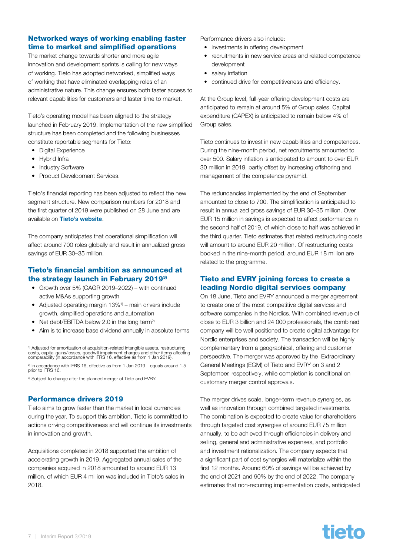#### Networked ways of working enabling faster time to market and simplified operations

The market change towards shorter and more agile innovation and development sprints is calling for new ways of working. Tieto has adopted networked, simplified ways of working that have eliminated overlapping roles of an administrative nature. This change ensures both faster access to relevant capabilities for customers and faster time to market.

Tieto's operating model has been aligned to the strategy launched in February 2019. Implementation of the new simplified structure has been completed and the following businesses constitute reportable segments for Tieto:

- Digital Experience
- Hybrid Infra
- Industry Software
- Product Development Services.

Tieto's financial reporting has been adjusted to reflect the new segment structure. New comparison numbers for 2018 and the first quarter of 2019 were published on 28 June and are available on [Tieto's website](https://www.tieto.com/en/investor-relations/financials/reporting-changes/).

The company anticipates that operational simplification will affect around 700 roles globally and result in annualized gross savings of EUR 30–35 million.

#### Tieto's financial ambition as announced at the strategy launch in February 20193)

- Growth over 5% (CAGR 2019–2022) with continued active M&As supporting growth
- Adjusted operating margin 13%<sup>1)</sup> main drivers include growth, simplified operations and automation
- Net debt/EBITDA below 2.0 in the long term<sup>2)</sup>
- Aim is to increase base dividend annually in absolute terms

<sup>1)</sup> Adjusted for amortization of acquisition-related intangible assets, restructuring<br>costs, capital gains/losses, goodwill impairment charges and other items affecting<br>comparability (in accordance with IFRS 16, effective

2) In accordance with IFRS 16, effective as from 1 Jan 2019 – equals around 1.5 prior to IFRS 16.

<sup>3)</sup> Subject to change after the planned merger of Tieto and EVRY.

#### Performance drivers 2019

Tieto aims to grow faster than the market in local currencies during the year. To support this ambition, Tieto is committed to actions driving competitiveness and will continue its investments in innovation and growth.

Acquisitions completed in 2018 supported the ambition of accelerating growth in 2019. Aggregated annual sales of the companies acquired in 2018 amounted to around EUR 13 million, of which EUR 4 million was included in Tieto's sales in 2018.

Performance drivers also include:

- investments in offering development
- recruitments in new service areas and related competence development
- salary inflation
- continued drive for competitiveness and efficiency.

At the Group level, full-year offering development costs are anticipated to remain at around 5% of Group sales. Capital expenditure (CAPEX) is anticipated to remain below 4% of Group sales.

Tieto continues to invest in new capabilities and competences. During the nine-month period, net recruitments amounted to over 500. Salary inflation is anticipated to amount to over EUR 30 million in 2019, partly offset by increasing offshoring and management of the competence pyramid.

The redundancies implemented by the end of September amounted to close to 700. The simplification is anticipated to result in annualized gross savings of EUR 30–35 million. Over EUR 15 million in savings is expected to affect performance in the second half of 2019, of which close to half was achieved in the third quarter. Tieto estimates that related restructuring costs will amount to around EUR 20 million. Of restructuring costs booked in the nine-month period, around EUR 18 million are related to the programme.

#### Tieto and EVRY joining forces to create a leading Nordic digital services company

On 18 June, Tieto and EVRY announced a merger agreement to create one of the most competitive digital services and software companies in the Nordics. With combined revenue of close to EUR 3 billion and 24 000 professionals, the combined company will be well positioned to create digital advantage for Nordic enterprises and society. The transaction will be highly complementary from a geographical, offering and customer perspective. The merger was approved by the Extraordinary General Meetings (EGM) of Tieto and EVRY on 3 and 2 September, respectively, while completion is conditional on customary merger control approvals.

The merger drives scale, longer-term revenue synergies, as well as innovation through combined targeted investments. The combination is expected to create value for shareholders through targeted cost synergies of around EUR 75 million annually, to be achieved through efficiencies in delivery and selling, general and administrative expenses, and portfolio and investment rationalization. The company expects that a significant part of cost synergies will materialize within the first 12 months. Around 60% of savings will be achieved by the end of 2021 and 90% by the end of 2022. The company estimates that non-recurring implementation costs, anticipated

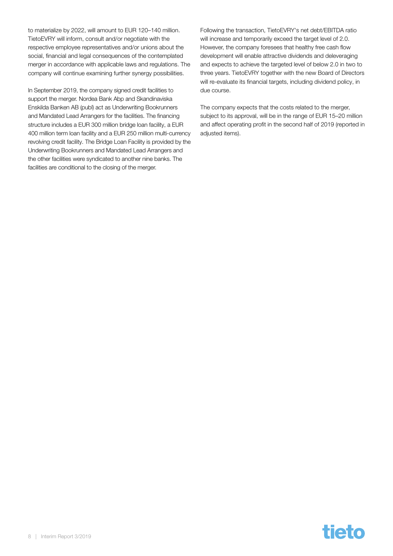to materialize by 2022, will amount to EUR 120–140 million. TietoEVRY will inform, consult and/or negotiate with the respective employee representatives and/or unions about the social, financial and legal consequences of the contemplated merger in accordance with applicable laws and regulations. The company will continue examining further synergy possibilities.

In September 2019, the company signed credit facilities to support the merger. Nordea Bank Abp and Skandinaviska Enskilda Banken AB (publ) act as Underwriting Bookrunners and Mandated Lead Arrangers for the facilities. The financing structure includes a EUR 300 million bridge loan facility, a EUR 400 million term loan facility and a EUR 250 million multi-currency revolving credit facility. The Bridge Loan Facility is provided by the Underwriting Bookrunners and Mandated Lead Arrangers and the other facilities were syndicated to another nine banks. The facilities are conditional to the closing of the merger.

Following the transaction, TietoEVRY's net debt/EBITDA ratio will increase and temporarily exceed the target level of 2.0. However, the company foresees that healthy free cash flow development will enable attractive dividends and deleveraging and expects to achieve the targeted level of below 2.0 in two to three years. TietoEVRY together with the new Board of Directors will re-evaluate its financial targets, including dividend policy, in due course.

The company expects that the costs related to the merger, subject to its approval, will be in the range of EUR 15–20 million and affect operating profit in the second half of 2019 (reported in adjusted items).

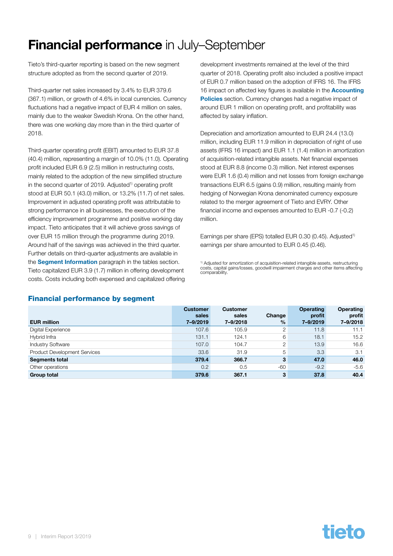# <span id="page-8-0"></span>**Financial performance** in July–September

Tieto's third-quarter reporting is based on the new segment structure adopted as from the second quarter of 2019.

Third-quarter net sales increased by 3.4% to EUR 379.6 (367.1) million, or growth of 4.6% in local currencies. Currency fluctuations had a negative impact of EUR 4 million on sales. mainly due to the weaker Swedish Krona. On the other hand, there was one working day more than in the third quarter of 2018.

Third-quarter operating profit (EBIT) amounted to EUR 37.8 (40.4) million, representing a margin of 10.0% (11.0). Operating profit included EUR 6.9 (2.5) million in restructuring costs, mainly related to the adoption of the new simplified structure in the second quarter of 2019. Adjusted<sup>1)</sup> operating profit stood at EUR 50.1 (43.0) million, or 13.2% (11.7) of net sales. Improvement in adjusted operating profit was attributable to strong performance in all businesses, the execution of the efficiency improvement programme and positive working day impact. Tieto anticipates that it will achieve gross savings of over EUR 15 million through the programme during 2019. Around half of the savings was achieved in the third quarter. Further details on third-quarter adjustments are available in the **[Segment Information](#page-25-0)** paragraph in the tables section. Tieto capitalized EUR 3.9 (1.7) million in offering development costs. Costs including both expensed and capitalized offering

development investments remained at the level of the third quarter of 2018. Operating profit also included a positive impact of EUR 0.7 million based on the adoption of IFRS 16. The IFRS 16 impact on affected key figures is available in the **Accounting** [Policies](#page-23-0) section. Currency changes had a negative impact of around EUR 1 million on operating profit, and profitability was affected by salary inflation.

Depreciation and amortization amounted to EUR 24.4 (13.0) million, including EUR 11.9 million in depreciation of right of use assets (IFRS 16 impact) and EUR 1.1 (1.4) million in amortization of acquisition-related intangible assets. Net financial expenses stood at EUR 8.8 (income 0.3) million. Net interest expenses were EUR 1.6 (0.4) million and net losses from foreign exchange transactions EUR 6.5 (gains 0.9) million, resulting mainly from hedging of Norwegian Krona denominated currency exposure related to the merger agreement of Tieto and EVRY. Other financial income and expenses amounted to EUR -0.7 (-0.2) million.

Earnings per share (EPS) totalled EUR 0.30 (0.45). Adjusted<sup>1)</sup> earnings per share amounted to EUR 0.45 (0.46).

<sup>1)</sup> Adjusted for amortization of acquisition-related intangible assets, restructuring<br>costs, capital gains/losses, goodwill impairment charges and other items affecting comparability.

|                                     | <b>Customer</b><br>sales | <b>Customer</b><br>sales | Change        | <b>Operating</b><br>profit | <b>Operating</b><br>profit |
|-------------------------------------|--------------------------|--------------------------|---------------|----------------------------|----------------------------|
| <b>EUR million</b>                  | 7-9/2019                 | 7-9/2018                 | $\frac{0}{0}$ | 7-9/2019                   | 7-9/2018                   |
| Digital Experience                  | 107.6                    | 105.9                    | 2             | 11.8                       | 11.1                       |
| Hybrid Infra                        | 131.1                    | 124.1                    | 6             | 18.1                       | 15.2                       |
| <b>Industry Software</b>            | 107.0                    | 104.7                    | 2             | 13.9                       | 16.6                       |
| <b>Product Development Services</b> | 33.6                     | 31.9                     | 5             | 3.3                        | 3.1                        |
| <b>Segments total</b>               | 379.4                    | 366.7                    | 3             | 47.0                       | 46.0                       |
| Other operations                    | 0.2                      | 0.5                      | $-60$         | $-9.2$                     | $-5.6$                     |
| <b>Group total</b>                  | 379.6                    | 367.1                    | 3             | 37.8                       | 40.4                       |

#### Financial performance by segment

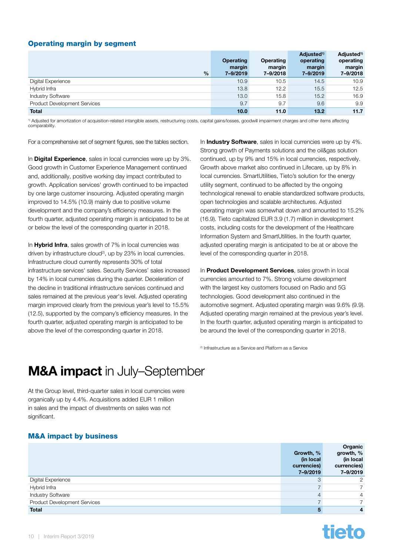#### <span id="page-9-0"></span>Operating margin by segment

| %                                   | <b>Operating</b><br>margin<br>7-9/2019 | Operating<br>margin<br>7-9/2018 | Adjusted <sup>1)</sup><br>operating<br>margin<br>7-9/2019 | Adjusted <sup>1)</sup><br>operating<br>margin<br>7-9/2018 |
|-------------------------------------|----------------------------------------|---------------------------------|-----------------------------------------------------------|-----------------------------------------------------------|
| Digital Experience                  | 10.9                                   | 10.5                            | 14.5                                                      | 10.9                                                      |
| Hybrid Infra                        | 13.8                                   | 12.2                            | 15.5                                                      | 12.5                                                      |
| <b>Industry Software</b>            | 13.0                                   | 15.8                            | 15.2                                                      | 16.9                                                      |
| <b>Product Development Services</b> | 9.7                                    | 9.7                             | 9.6                                                       | 9.9                                                       |
| <b>Total</b>                        | 10.0                                   | 11.0                            | 13.2                                                      | 11.7                                                      |

1) Adjusted for amortization of acquisition-related intangible assets, restructuring costs, capital gains/losses, goodwill impairment charges and other items affecting comparability.

For a comprehensive set of segment figures, see the tables section.

In **Digital Experience**, sales in local currencies were up by 3%. Good growth in Customer Experience Management continued and, additionally, positive working day impact contributed to growth. Application services' growth continued to be impacted by one large customer insourcing. Adjusted operating margin improved to 14.5% (10.9) mainly due to positive volume development and the company's efficiency measures. In the fourth quarter, adjusted operating margin is anticipated to be at or below the level of the corresponding quarter in 2018.

In **Hybrid Infra**, sales growth of 7% in local currencies was driven by infrastructure cloud<sup>2)</sup>, up by  $23\%$  in local currencies. Infrastructure cloud currently represents 30% of total infrastructure services' sales. Security Services' sales increased by 14% in local currencies during the quarter. Deceleration of the decline in traditional infrastructure services continued and sales remained at the previous year's level. Adjusted operating margin improved clearly from the previous year's level to 15.5% (12.5), supported by the company's efficiency measures. In the fourth quarter, adjusted operating margin is anticipated to be above the level of the corresponding quarter in 2018.

In **Industry Software**, sales in local currencies were up by 4%. Strong growth of Payments solutions and the oil&gas solution continued, up by 9% and 15% in local currencies, respectively. Growth above market also continued in Lifecare, up by 8% in local currencies. SmartUtilities, Tieto's solution for the energy utility segment, continued to be affected by the ongoing technological renewal to enable standardized software products, open technologies and scalable architectures. Adjusted operating margin was somewhat down and amounted to 15.2% (16.9). Tieto capitalized EUR 3.9 (1.7) million in development costs, including costs for the development of the Healthcare Information System and SmartUtilities. In the fourth quarter, adjusted operating margin is anticipated to be at or above the level of the corresponding quarter in 2018.

In **Product Development Services**, sales growth in local currencies amounted to 7%. Strong volume development with the largest key customers focused on Radio and 5G technologies. Good development also continued in the automotive segment. Adjusted operating margin was 9.6% (9.9). Adjusted operating margin remained at the previous year's level. In the fourth quarter, adjusted operating margin is anticipated to be around the level of the corresponding quarter in 2018.

2) Infrastructure as a Service and Platform as a Service

# M&A impact in July–September

At the Group level, third-quarter sales in local currencies were organically up by 4.4%. Acquisitions added EUR 1 million in sales and the impact of divestments on sales was not significant.

#### M&A impact by business

|                                     | Growth, %<br>(in local<br>currencies)<br>7-9/2019 | Organic<br>growth, %<br>(in local<br>currencies)<br>7-9/2019 |
|-------------------------------------|---------------------------------------------------|--------------------------------------------------------------|
| Digital Experience                  |                                                   | $\mathcal{P}$                                                |
| Hybrid Infra                        |                                                   | $\overline{7}$                                               |
| <b>Industry Software</b>            |                                                   | $\overline{4}$                                               |
| <b>Product Development Services</b> |                                                   |                                                              |
| <b>Total</b>                        |                                                   | $\overline{4}$                                               |

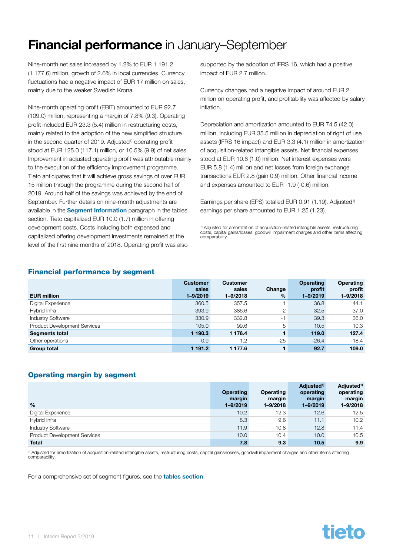# <span id="page-10-0"></span>Financial performance in January–September

Nine-month net sales increased by 1.2% to EUR 1 191.2 (1 177.6) million, growth of 2.6% in local currencies. Currency fluctuations had a negative impact of EUR 17 million on sales, mainly due to the weaker Swedish Krona.

Nine-month operating profit (EBIT) amounted to EUR 92.7 (109.0) million, representing a margin of 7.8% (9.3). Operating profit included EUR 23.3 (5.4) million in restructuring costs, mainly related to the adoption of the new simplified structure in the second quarter of 2019. Adjusted<sup>1)</sup> operating profit stood at EUR 125.0 (117.1) million, or 10.5% (9.9) of net sales. Improvement in adjusted operating profit was attributable mainly to the execution of the efficiency improvement programme. Tieto anticipates that it will achieve gross savings of over EUR 15 million through the programme during the second half of 2019. Around half of the savings was achieved by the end of September. Further details on nine-month adjustments are available in the [Segment Information](#page-25-0) paragraph in the tables section. Tieto capitalized EUR 10.0 (1.7) million in offering development costs. Costs including both expensed and capitalized offering development investments remained at the level of the first nine months of 2018. Operating profit was also

supported by the adoption of IFRS 16, which had a positive impact of EUR 2.7 million.

Currency changes had a negative impact of around EUR 2 million on operating profit, and profitability was affected by salary inflation.

Depreciation and amortization amounted to EUR 74.5 (42.0) million, including EUR 35.5 million in depreciation of right of use assets (IFRS 16 impact) and EUR 3.3 (4.1) million in amortization of acquisition-related intangible assets. Net financial expenses stood at EUR 10.6 (1.0) million. Net interest expenses were EUR 5.8 (1.4) million and net losses from foreign exchange transactions EUR 2.8 (gain 0.9) million. Other financial income and expenses amounted to EUR -1.9 (-0.6) million.

Earnings per share (EPS) totalled EUR 0.91 (1.19). Adjusted<sup>1)</sup> earnings per share amounted to EUR 1.25 (1.23).

<sup>1)</sup> Adjusted for amortization of acquisition-related intangible assets, restructuring costs, capital gains/losses, goodwill impairment charges and other items affecting comparability

#### Financial performance by segment

|                                     | <b>Customer</b><br>sales | <b>Customer</b><br>sales | Change        | <b>Operating</b><br>profit | <b>Operating</b><br>profit |
|-------------------------------------|--------------------------|--------------------------|---------------|----------------------------|----------------------------|
| <b>EUR million</b>                  | 1-9/2019                 | 1-9/2018                 | $\frac{0}{0}$ | $1 - 9/2019$               | $1 - 9/2018$               |
| Digital Experience                  | 360.5                    | 357.5                    |               | 36.8                       | 44.1                       |
| Hybrid Infra                        | 393.9                    | 386.6                    | 2             | 32.5                       | 37.0                       |
| <b>Industry Software</b>            | 330.9                    | 332.8                    | -1            | 39.3                       | 36.0                       |
| <b>Product Development Services</b> | 105.0                    | 99.6                     | 5             | 10.5                       | 10.3                       |
| <b>Segments total</b>               | 1 190.3                  | 1 176.4                  |               | 119.0                      | 127.4                      |
| Other operations                    | 0.9                      | 1.2                      | $-25$         | $-26.4$                    | $-18.4$                    |
| <b>Group total</b>                  | 1 191.2                  | 1 177.6                  |               | 92.7                       | 109.0                      |

#### Operating margin by segment

| $\frac{0}{0}$                       | <b>Operating</b><br>margin<br>$1 - 9/2019$ | Operating<br>margin<br>$1 - 9/2018$ | Adjusted <sup>1)</sup><br>operating<br>margin<br>$1 - 9/2019$ | Adjusted <sup>1)</sup><br>operating<br>margin<br>$1 - 9/2018$ |
|-------------------------------------|--------------------------------------------|-------------------------------------|---------------------------------------------------------------|---------------------------------------------------------------|
| Digital Experience                  | 10.2                                       | 12.3                                | 12.6                                                          | 12.5                                                          |
| Hybrid Infra                        | 8.3                                        | 9.6                                 | 11.1                                                          | 10.2                                                          |
| <b>Industry Software</b>            | 11.9                                       | 10.8                                | 12.8                                                          | 11.4                                                          |
| <b>Product Development Services</b> | 10.0                                       | 10.4                                | 10.0                                                          | 10.5                                                          |
| <b>Total</b>                        | 7.8                                        | 9.3                                 | 10.5                                                          | 9.9                                                           |

<sup>1)</sup> Adjusted for amortization of acquisition-related intangible assets, restructuring costs, capital gains/losses, goodwill impairment charges and other items affecting comparability.

For a comprehensive set of segment figures, see the **[tables section](#page-16-0)**.

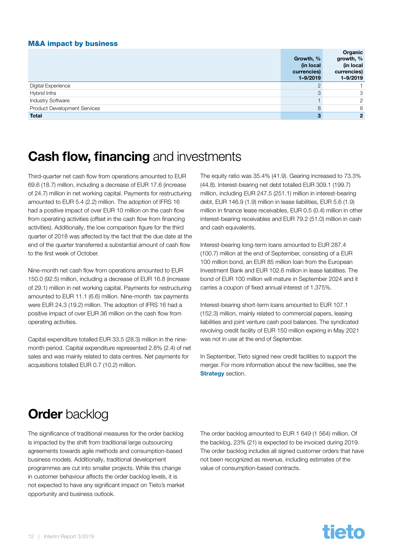#### <span id="page-11-0"></span>M&A impact by business

|                              | Growth, %<br>(in local<br>currencies)<br>$1 - 9/2019$ | Organic<br>growth, %<br>(in local<br>currencies)<br>$1 - 9/2019$ |
|------------------------------|-------------------------------------------------------|------------------------------------------------------------------|
| Digital Experience           |                                                       |                                                                  |
| Hybrid Infra                 | 3                                                     | 3                                                                |
| <b>Industry Software</b>     |                                                       | 2                                                                |
| Product Development Services | 8                                                     | 8                                                                |
| <b>Total</b>                 |                                                       | $\overline{2}$                                                   |

### **Cash flow, financing and investments**

Third-quarter net cash flow from operations amounted to EUR 69.6 (18.7) million, including a decrease of EUR 17.6 (increase of 24.7) million in net working capital. Payments for restructuring amounted to EUR 5.4 (2.2) million. The adoption of IFRS 16 had a positive impact of over EUR 10 million on the cash flow from operating activities (offset in the cash flow from financing activities). Additionally, the low comparison figure for the third quarter of 2018 was affected by the fact that the due date at the end of the quarter transferred a substantial amount of cash flow to the first week of October.

Nine-month net cash flow from operations amounted to EUR 150.0 (92.5) million, including a decrease of EUR 16.8 (increase of 29.1) million in net working capital. Payments for restructuring amounted to EUR 11.1 (6.6) million. Nine-month tax payments were EUR 24.3 (19.2) million. The adoption of IFRS 16 had a positive impact of over EUR 36 million on the cash flow from operating activities.

Capital expenditure totalled EUR 33.5 (28.3) million in the ninemonth period. Capital expenditure represented 2.8% (2.4) of net sales and was mainly related to data centres. Net payments for acquisitions totalled EUR 0.7 (10.2) million.

The equity ratio was 35.4% (41.9). Gearing increased to 73.3% (44.8). Interest-bearing net debt totalled EUR 309.1 (199.7) million, including EUR 247.5 (251.1) million in interest-bearing debt, EUR 146.9 (1.9) million in lease liabilities, EUR 5.6 (1.9) million in finance lease receivables, EUR 0.5 (0.4) million in other interest-bearing receivables and EUR 79.2 (51.0) million in cash and cash equivalents.

Interest-bearing long-term loans amounted to EUR 287.4 (100.7) million at the end of September, consisting of a EUR 100 million bond, an EUR 85 million loan from the European Investment Bank and EUR 102.6 million in lease liabilities. The bond of EUR 100 million will mature in September 2024 and it carries a coupon of fixed annual interest of 1.375%.

Interest-bearing short-term loans amounted to EUR 107.1 (152.3) million, mainly related to commercial papers, leasing liabilities and joint venture cash pool balances. The syndicated revolving credit facility of EUR 150 million expiring in May 2021 was not in use at the end of September.

In September, Tieto signed new credit facilities to support the merger. For more information about the new facilities, see the **[Strategy](#page-5-0) section.** 

# **Order backlog**

The significance of traditional measures for the order backlog is impacted by the shift from traditional large outsourcing agreements towards agile methods and consumption-based business models. Additionally, traditional development programmes are cut into smaller projects. While this change in customer behaviour affects the order backlog levels, it is not expected to have any significant impact on Tieto's market opportunity and business outlook.

The order backlog amounted to EUR 1 649 (1 564) million. Of the backlog, 23% (21) is expected to be invoiced during 2019. The order backlog includes all signed customer orders that have not been recognized as revenue, including estimates of the value of consumption-based contracts.

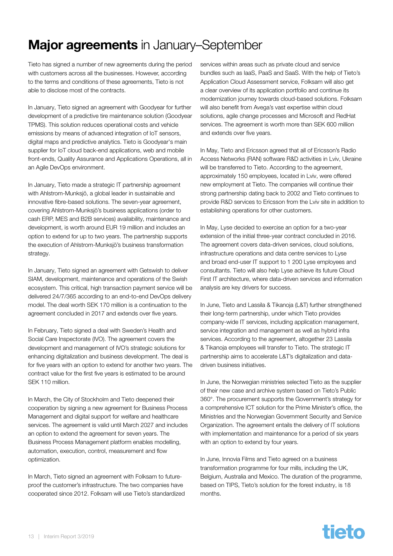# <span id="page-12-0"></span>**Major agreements** in January–September

Tieto has signed a number of new agreements during the period with customers across all the businesses. However, according to the terms and conditions of these agreements, Tieto is not able to disclose most of the contracts.

In January, Tieto signed an agreement with Goodyear for further development of a predictive tire maintenance solution (Goodyear TPMS). This solution reduces operational costs and vehicle emissions by means of advanced integration of IoT sensors, digital maps and predictive analytics. Tieto is Goodyear's main supplier for IoT cloud back-end applications, web and mobile front-ends, Quality Assurance and Applications Operations, all in an Agile DevOps environment.

In January, Tieto made a strategic IT partnership agreement with Ahlstrom-Munksjö, a global leader in sustainable and innovative fibre-based solutions. The seven-year agreement, covering Ahlstrom-Munksjö's business applications (order to cash ERP, MES and B2B services) availability, maintenance and development, is worth around EUR 19 million and includes an option to extend for up to two years. The partnership supports the execution of Ahlstrom-Munksjö's business transformation strategy.

In January, Tieto signed an agreement with Getswish to deliver SIAM, development, maintenance and operations of the Swish ecosystem. This critical, high transaction payment service will be delivered 24/7/365 according to an end-to-end DevOps delivery model. The deal worth SEK 170 million is a continuation to the agreement concluded in 2017 and extends over five years.

In February, Tieto signed a deal with Sweden's Health and Social Care Inspectorate (IVO). The agreement covers the development and management of IVO's strategic solutions for enhancing digitalization and business development. The deal is for five years with an option to extend for another two years. The contract value for the first five years is estimated to be around SEK 110 million.

In March, the City of Stockholm and Tieto deepened their cooperation by signing a new agreement for Business Process Management and digital support for welfare and healthcare services. The agreement is valid until March 2027 and includes an option to extend the agreement for seven years. The Business Process Management platform enables modelling, automation, execution, control, measurement and flow optimization.

In March, Tieto signed an agreement with Folksam to futureproof the customer's infrastructure. The two companies have cooperated since 2012. Folksam will use Tieto's standardized services within areas such as private cloud and service bundles such as IaaS, PaaS and SaaS. With the help of Tieto's Application Cloud Assessment service, Folksam will also get a clear overview of its application portfolio and continue its modernization journey towards cloud-based solutions. Folksam will also benefit from Avega's vast expertise within cloud solutions, agile change processes and Microsoft and RedHat services. The agreement is worth more than SEK 600 million and extends over five years.

In May, Tieto and Ericsson agreed that all of Ericsson's Radio Access Networks (RAN) software R&D activities in Lviv, Ukraine will be transferred to Tieto. According to the agreement, approximately 150 employees, located in Lviv, were offered new employment at Tieto. The companies will continue their strong partnership dating back to 2002 and Tieto continues to provide R&D services to Ericsson from the Lviv site in addition to establishing operations for other customers.

In May, Lyse decided to exercise an option for a two-year extension of the initial three-year contract concluded in 2016. The agreement covers data-driven services, cloud solutions, infrastructure operations and data centre services to Lyse and broad end-user IT support to 1 200 Lyse employees and consultants. Tieto will also help Lyse achieve its future Cloud First IT architecture, where data-driven services and information analysis are key drivers for success.

In June, Tieto and Lassila & Tikanoja (L&T) further strengthened their long-term partnership, under which Tieto provides company-wide IT services, including application management, service integration and management as well as hybrid infra services. According to the agreement, altogether 23 Lassila & Tikanoja employees will transfer to Tieto. The strategic IT partnership aims to accelerate L&T's digitalization and datadriven business initiatives.

In June, the Norwegian ministries selected Tieto as the supplier of their new case and archive system based on Tieto's Public 360°. The procurement supports the Government's strategy for a comprehensive ICT solution for the Prime Minister's office, the Ministries and the Norwegian Government Security and Service Organization. The agreement entails the delivery of IT solutions with implementation and maintenance for a period of six years with an option to extend by four years.

In June, Innovia Films and Tieto agreed on a business transformation programme for four mills, including the UK, Belgium, Australia and Mexico. The duration of the programme, based on TIPS, Tieto's solution for the forest industry, is 18 months.

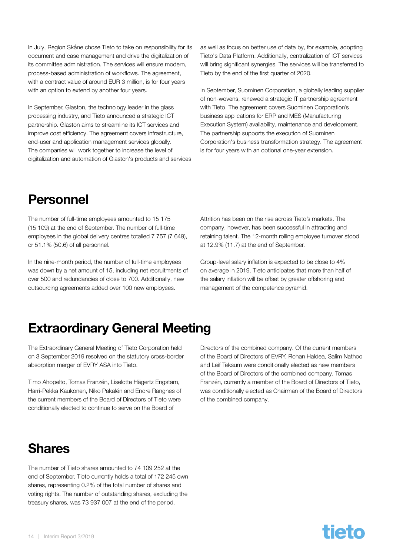<span id="page-13-0"></span>In July, Region Skåne chose Tieto to take on responsibility for its document and case management and drive the digitalization of its committee administration. The services will ensure modern, process-based administration of workflows. The agreement, with a contract value of around EUR 3 million, is for four years with an option to extend by another four years.

In September, Glaston, the technology leader in the glass processing industry, and Tieto announced a strategic ICT partnership. Glaston aims to streamline its ICT services and improve cost efficiency. The agreement covers infrastructure, end-user and application management services globally. The companies will work together to increase the level of digitalization and automation of Glaston's products and services as well as focus on better use of data by, for example, adopting Tieto's Data Platform. Additionally, centralization of ICT services will bring significant synergies. The services will be transferred to Tieto by the end of the first quarter of 2020.

In September, Suominen Corporation, a globally leading supplier of non-wovens, renewed a strategic IT partnership agreement with Tieto. The agreement covers Suominen Corporation's business applications for ERP and MES (Manufacturing Execution System) availability, maintenance and development. The partnership supports the execution of Suominen Corporation's business transformation strategy. The agreement is for four years with an optional one-year extension.

# Personnel

The number of full-time employees amounted to 15 175 (15 109) at the end of September. The number of full-time employees in the global delivery centres totalled 7 757 (7 649), or 51.1% (50.6) of all personnel.

In the nine-month period, the number of full-time employees was down by a net amount of 15, including net recruitments of over 500 and redundancies of close to 700. Additionally, new outsourcing agreements added over 100 new employees.

Attrition has been on the rise across Tieto's markets. The company, however, has been successful in attracting and retaining talent. The 12-month rolling employee turnover stood at 12.9% (11.7) at the end of September.

Group-level salary inflation is expected to be close to 4% on average in 2019. Tieto anticipates that more than half of the salary inflation will be offset by greater offshoring and management of the competence pyramid.

# Extraordinary General Meeting

The Extraordinary General Meeting of Tieto Corporation held on 3 September 2019 resolved on the statutory cross-border absorption merger of EVRY ASA into Tieto.

Timo Ahopelto, Tomas Franzén, Liselotte Hägertz Engstam, Harri-Pekka Kaukonen, Niko Pakalén and Endre Rangnes of the current members of the Board of Directors of Tieto were conditionally elected to continue to serve on the Board of

Directors of the combined company. Of the current members of the Board of Directors of EVRY, Rohan Haldea, Salim Nathoo and Leif Teksum were conditionally elected as new members of the Board of Directors of the combined company. Tomas Franzén, currently a member of the Board of Directors of Tieto, was conditionally elected as Chairman of the Board of Directors of the combined company.

# **Shares**

The number of Tieto shares amounted to 74 109 252 at the end of September. Tieto currently holds a total of 172 245 own shares, representing 0.2% of the total number of shares and voting rights. The number of outstanding shares, excluding the treasury shares, was 73 937 007 at the end of the period.

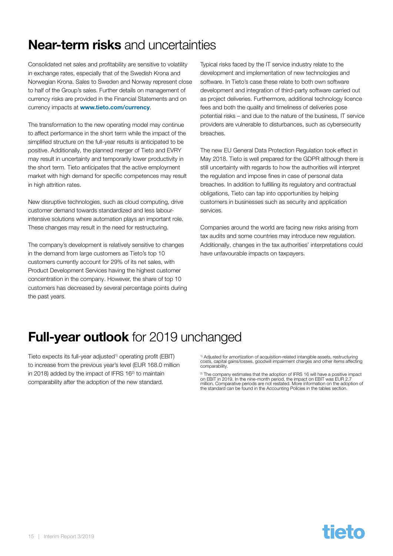# <span id="page-14-0"></span>Near-term risks and uncertainties

Consolidated net sales and profitability are sensitive to volatility in exchange rates, especially that of the Swedish Krona and Norwegian Krona. Sales to Sweden and Norway represent close to half of the Group's sales. Further details on management of currency risks are provided in the Financial Statements and on currency impacts at [www.tieto.com/currency](http://www.tieto.com/currency).

The transformation to the new operating model may continue to affect performance in the short term while the impact of the simplified structure on the full-year results is anticipated to be positive. Additionally, the planned merger of Tieto and EVRY may result in uncertainty and temporarily lower productivity in the short term. Tieto anticipates that the active employment market with high demand for specific competences may result in high attrition rates.

New disruptive technologies, such as cloud computing, drive customer demand towards standardized and less labourintensive solutions where automation plays an important role. These changes may result in the need for restructuring.

The company's development is relatively sensitive to changes in the demand from large customers as Tieto's top 10 customers currently account for 29% of its net sales, with Product Development Services having the highest customer concentration in the company. However, the share of top 10 customers has decreased by several percentage points during the past years.

Typical risks faced by the IT service industry relate to the development and implementation of new technologies and software. In Tieto's case these relate to both own software development and integration of third-party software carried out as project deliveries. Furthermore, additional technology licence fees and both the quality and timeliness of deliveries pose potential risks – and due to the nature of the business, IT service providers are vulnerable to disturbances, such as cybersecurity breaches.

The new EU General Data Protection Regulation took effect in May 2018. Tieto is well prepared for the GDPR although there is still uncertainty with regards to how the authorities will interpret the regulation and impose fines in case of personal data breaches. In addition to fulfilling its regulatory and contractual obligations, Tieto can tap into opportunities by helping customers in businesses such as security and application services.

Companies around the world are facing new risks arising from tax audits and some countries may introduce new regulation. Additionally, changes in the tax authorities' interpretations could have unfavourable impacts on taxpayers.

# **Full-year outlook** for 2019 unchanged

Tieto expects its full-year adjusted<sup>1)</sup> operating profit (EBIT) to increase from the previous year's level (EUR 168.0 million in 2018) added by the impact of IFRS  $16<sup>2</sup>$  to maintain comparability after the adoption of the new standard.

<sup>1)</sup> Adjusted for amortization of acquisition-related intangible assets, restructuring costs, capital gains/losses, goodwill impairment charges and other items affecting comparability.

<sup>2)</sup> The company estimates that the adoption of IFRS 16 will have a positive impact<br>on EBIT in 2019. In the nine-month period, the impact on EBIT was EUR 2.7<br>million. Comparative periods are not restated. More information

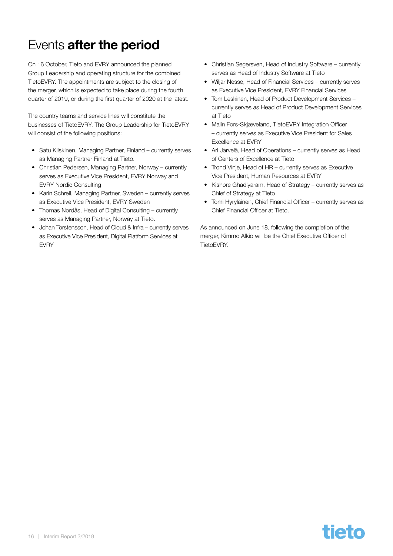# <span id="page-15-0"></span>Events after the period

On 16 October, Tieto and EVRY announced the planned Group Leadership and operating structure for the combined TietoEVRY. The appointments are subject to the closing of the merger, which is expected to take place during the fourth quarter of 2019, or during the first quarter of 2020 at the latest.

The country teams and service lines will constitute the businesses of TietoEVRY. The Group Leadership for TietoEVRY will consist of the following positions:

- Satu Kiiskinen, Managing Partner, Finland currently serves as Managing Partner Finland at Tieto.
- Christian Pedersen, Managing Partner, Norway currently serves as Executive Vice President, EVRY Norway and EVRY Nordic Consulting
- Karin Schreil, Managing Partner, Sweden currently serves as Executive Vice President, EVRY Sweden
- Thomas Nordås, Head of Digital Consulting currently serves as Managing Partner, Norway at Tieto.
- Johan Torstensson, Head of Cloud & Infra currently serves as Executive Vice President, Digital Platform Services at EVRY
- Christian Segersven, Head of Industry Software currently serves as Head of Industry Software at Tieto
- Williar Nesse, Head of Financial Services currently serves as Executive Vice President, EVRY Financial Services
- Tom Leskinen, Head of Product Development Services currently serves as Head of Product Development Services at Tieto
- Malin Fors-Skjæveland, TietoEVRY Integration Officer – currently serves as Executive Vice President for Sales Excellence at EVRY
- Ari Järvelä, Head of Operations currently serves as Head of Centers of Excellence at Tieto
- Trond Vinje, Head of HR currently serves as Executive Vice President, Human Resources at EVRY
- Kishore Ghadiyaram, Head of Strategy currently serves as Chief of Strategy at Tieto
- Tomi Hyryläinen, Chief Financial Officer currently serves as Chief Financial Officer at Tieto.

As announced on June 18, following the completion of the merger, Kimmo Alkio will be the Chief Executive Officer of TietoEVRY.

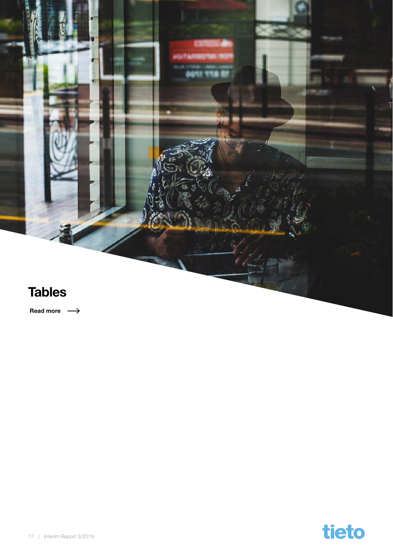<span id="page-16-0"></span>

Read more  $\longrightarrow$ 

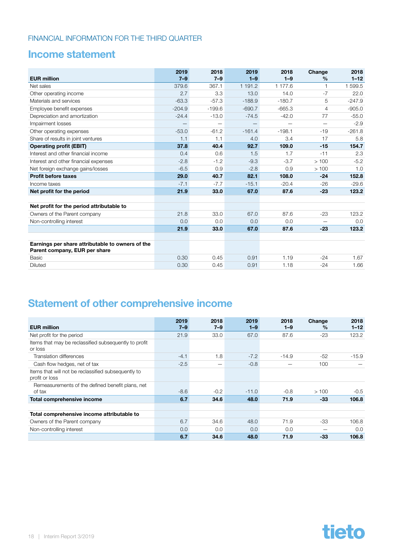### <span id="page-17-0"></span>Income statement

|                                                                                   | 2019                     | 2018     | 2019                     | 2018     | Change                   | 2018     |
|-----------------------------------------------------------------------------------|--------------------------|----------|--------------------------|----------|--------------------------|----------|
| <b>EUR million</b>                                                                | $7 - 9$                  | $7 - 9$  | $1 - 9$                  | $1 - 9$  | $\frac{0}{0}$            | $1 - 12$ |
| Net sales                                                                         | 379.6                    | 367.1    | 1 191.2                  | 1 177.6  | 1                        | 1 599.5  |
| Other operating income                                                            | 2.7                      | 3.3      | 13.0                     | 14.0     | $-7$                     | 22.0     |
| Materials and services                                                            | $-63.3$                  | $-57.3$  | $-188.9$                 | $-180.7$ | 5                        | $-247.9$ |
| Employee benefit expenses                                                         | $-204.9$                 | $-199.6$ | $-690.7$                 | $-665.3$ | 4                        | $-905.0$ |
| Depreciation and amortization                                                     | $-24.4$                  | $-13.0$  | $-74.5$                  | $-42.0$  | 77                       | $-55.0$  |
| Impairment losses                                                                 | $\overline{\phantom{0}}$ |          | $\overline{\phantom{0}}$ |          | $\overline{\phantom{0}}$ | $-2.9$   |
| Other operating expenses                                                          | $-53.0$                  | $-61.2$  | $-161.4$                 | $-198.1$ | $-19$                    | $-261.8$ |
| Share of results in joint ventures                                                | 1.1                      | 1.1      | 4.0                      | 3.4      | 17                       | 5.8      |
| <b>Operating profit (EBIT)</b>                                                    | 37.8                     | 40.4     | 92.7                     | 109.0    | $-15$                    | 154.7    |
| Interest and other financial income                                               | 0.4                      | 0.6      | 1.5                      | 1.7      | $-11$                    | 2.3      |
| Interest and other financial expenses                                             | $-2.8$                   | $-1.2$   | $-9.3$                   | $-3.7$   | >100                     | $-5.2$   |
| Net foreign exchange gains/losses                                                 | $-6.5$                   | 0.9      | $-2.8$                   | 0.9      | >100                     | 1.0      |
| <b>Profit before taxes</b>                                                        | 29.0                     | 40.7     | 82.1                     | 108.0    | $-24$                    | 152.8    |
| Income taxes                                                                      | $-7.1$                   | $-7.7$   | $-15.1$                  | $-20.4$  | $-26$                    | $-29.6$  |
| Net profit for the period                                                         | 21.9                     | 33.0     | 67.0                     | 87.6     | $-23$                    | 123.2    |
|                                                                                   |                          |          |                          |          |                          |          |
| Net profit for the period attributable to                                         |                          |          |                          |          |                          |          |
| Owners of the Parent company                                                      | 21.8                     | 33.0     | 67.0                     | 87.6     | $-23$                    | 123.2    |
| Non-controlling interest                                                          | 0.0                      | 0.0      | 0.0                      | 0.0      |                          | 0.0      |
|                                                                                   | 21.9                     | 33.0     | 67.0                     | 87.6     | $-23$                    | 123.2    |
|                                                                                   |                          |          |                          |          |                          |          |
| Earnings per share attributable to owners of the<br>Parent company, EUR per share |                          |          |                          |          |                          |          |
| Basic                                                                             | 0.30                     | 0.45     | 0.91                     | 1.19     | $-24$                    | 1.67     |
| <b>Diluted</b>                                                                    | 0.30                     | 0.45     | 0.91                     | 1.18     | $-24$                    | 1.66     |

### Statement of other comprehensive income

|                                                                       | 2019    | 2018    | 2019    | 2018    | Change        | 2018     |
|-----------------------------------------------------------------------|---------|---------|---------|---------|---------------|----------|
| <b>EUR million</b>                                                    | $7 - 9$ | $7 - 9$ | $1 - 9$ | $1 - 9$ | $\frac{0}{0}$ | $1 - 12$ |
| Net profit for the period                                             | 21.9    | 33.0    | 67.0    | 87.6    | $-23$         | 123.2    |
| Items that may be reclassified subsequently to profit<br>or loss      |         |         |         |         |               |          |
| Translation differences                                               | $-4.1$  | 1.8     | $-7.2$  | $-14.9$ | $-52$         | $-15.9$  |
| Cash flow hedges, net of tax                                          | $-2.5$  |         | $-0.8$  |         | 100           |          |
| Items that will not be reclassified subsequently to<br>profit or loss |         |         |         |         |               |          |
| Remeasurements of the defined benefit plans, net                      |         |         |         |         |               |          |
| of tax                                                                | $-8.6$  | $-0.2$  | $-11.0$ | $-0.8$  | >100          | $-0.5$   |
| Total comprehensive income                                            | 6.7     | 34.6    | 48.0    | 71.9    | $-33$         | 106.8    |
| Total comprehensive income attributable to                            |         |         |         |         |               |          |
| Owners of the Parent company                                          | 6.7     | 34.6    | 48.0    | 71.9    | -33           | 106.8    |
| Non-controlling interest                                              | 0.0     | 0.0     | 0.0     | 0.0     |               | 0.0      |
|                                                                       | 6.7     | 34.6    | 48.0    | 71.9    | $-33$         | 106.8    |

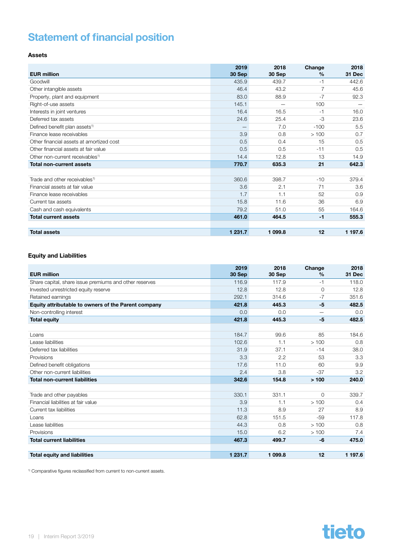### <span id="page-18-0"></span>Statement of financial position

#### Assets

| <b>EUR million</b>                          | 2019<br>30 Sep | 2018<br>30 Sep | Change<br>$\frac{0}{0}$ | 2018<br>31 Dec |
|---------------------------------------------|----------------|----------------|-------------------------|----------------|
| Goodwill                                    | 435.9          | 439.7          | $-1$                    | 442.6          |
| Other intangible assets                     | 46.4           | 43.2           |                         | 45.6           |
| Property, plant and equipment               | 83.0           | 88.9           | $-7$                    | 92.3           |
| Right-of-use assets                         | 145.1          |                | 100                     |                |
| Interests in joint ventures                 | 16.4           | 16.5           | $-1$                    | 16.0           |
| Deferred tax assets                         | 24.6           | 25.4           | $-3$                    | 23.6           |
| Defined benefit plan assets <sup>1)</sup>   |                | 7.0            | $-100$                  | 5.5            |
| Finance lease receivables                   | 3.9            | 0.8            | >100                    | 0.7            |
| Other financial assets at amortized cost    | 0.5            | 0.4            | 15                      | 0.5            |
| Other financial assets at fair value        | 0.5            | 0.5            | $-11$                   | 0.5            |
| Other non-current receivables <sup>1)</sup> | 14.4           | 12.8           | 13                      | 14.9           |
| Total non-current assets                    | 770.7          | 635.3          | 21                      | 642.3          |
|                                             |                |                |                         |                |
| Trade and other receivables <sup>1)</sup>   | 360.6          | 398.7          | $-10$                   | 379.4          |
| Financial assets at fair value              | 3.6            | 2.1            | 71                      | 3.6            |
| Finance lease receivables                   | 1.7            | 1.1            | 52                      | 0.9            |
| Current tax assets                          | 15.8           | 11.6           | 36                      | 6.9            |
| Cash and cash equivalents                   | 79.2           | 51.0           | 55                      | 164.6          |
| <b>Total current assets</b>                 | 461.0          | 464.5          | $-1$                    | 555.3          |
|                                             |                |                |                         |                |
| <b>Total assets</b>                         | 1 231.7        | 1 099.8        | 12                      | 1 197.6        |

#### Equity and Liabilities

| <b>EUR million</b>                                     | 2019<br>30 Sep | 2018<br>30 Sep | Change<br>$\frac{0}{0}$  | 2018<br>31 Dec |
|--------------------------------------------------------|----------------|----------------|--------------------------|----------------|
| Share capital, share issue premiums and other reserves | 116.9          | 117.9          | $-1$                     | 118.0          |
| Invested unrestricted equity reserve                   | 12.8           | 12.8           | $\circ$                  | 12.8           |
| Retained earnings                                      | 292.1          | 314.6          | $-7$                     | 351.6          |
| Equity attributable to owners of the Parent company    | 421.8          | 445.3          | -5                       | 482.5          |
| Non-controlling interest                               | 0.0            | 0.0            | $\overline{\phantom{0}}$ | 0.0            |
| <b>Total equity</b>                                    | 421.8          | 445.3          | -5                       | 482.5          |
|                                                        |                |                |                          |                |
| Loans                                                  | 184.7          | 99.6           | 85                       | 184.6          |
| Lease liabilities                                      | 102.6          | 1.1            | >100                     | 0.8            |
| Deferred tax liabilities                               | 31.9           | 37.1           | $-14$                    | 38.0           |
| Provisions                                             | 3.3            | 2.2            | 53                       | 3.3            |
| Defined benefit obligations                            | 17.6           | 11.0           | 60                       | 9.9            |
| Other non-current liabilities                          | 2.4            | 3.8            | $-37$                    | 3.2            |
| <b>Total non-current liabilities</b>                   | 342.6          | 154.8          | >100                     | 240.0          |
|                                                        |                |                |                          |                |
| Trade and other payables                               | 330.1          | 331.1          | $\overline{0}$           | 339.7          |
| Financial liabilities at fair value                    | 3.9            | 1.1            | >100                     | 0.4            |
| Current tax liabilities                                | 11.3           | 8.9            | 27                       | 8.9            |
| Loans                                                  | 62.8           | 151.5          | $-59$                    | 117.8          |
| Lease liabilities                                      | 44.3           | 0.8            | >100                     | 0.8            |
| Provisions                                             | 15.0           | 6.2            | >100                     | 7.4            |
| <b>Total current liabilities</b>                       | 467.3          | 499.7          | -6                       | 475.0          |
|                                                        |                |                |                          |                |
| <b>Total equity and liabilities</b>                    | 1 231.7        | 1 099.8        | 12                       | 1 197.6        |

1) Comparative figures reclassified from current to non-current assets.

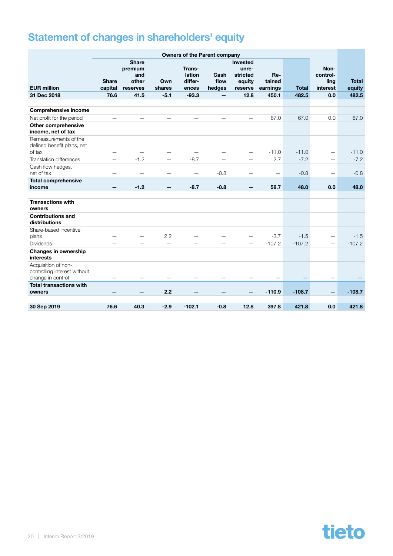# <span id="page-19-0"></span>Statement of changes in shareholders' equity

|                                                                          | <b>Owners of the Parent company</b> |                                                     |                          |                                      |                          |                                                    |                           |              |                                      |                        |
|--------------------------------------------------------------------------|-------------------------------------|-----------------------------------------------------|--------------------------|--------------------------------------|--------------------------|----------------------------------------------------|---------------------------|--------------|--------------------------------------|------------------------|
| <b>EUR million</b>                                                       | <b>Share</b><br>capital             | <b>Share</b><br>premium<br>and<br>other<br>reserves | Own<br>shares            | Trans-<br>lation<br>differ-<br>ences | Cash<br>flow<br>hedges   | Invested<br>unre-<br>stricted<br>equity<br>reserve | Re-<br>tained<br>earnings | <b>Total</b> | Non-<br>control-<br>ling<br>interest | <b>Total</b><br>equity |
| 31 Dec 2018                                                              | 76.6                                | 41.5                                                | $-5.1$                   | $-93.3$                              |                          | 12.8                                               | 450.1                     | 482.5        | 0.0                                  | 482.5                  |
|                                                                          |                                     |                                                     |                          |                                      |                          |                                                    |                           |              |                                      |                        |
| <b>Comprehensive income</b>                                              | $\overline{\phantom{a}}$            |                                                     |                          |                                      |                          | ÷                                                  |                           |              |                                      |                        |
| Net profit for the period                                                |                                     |                                                     |                          |                                      |                          |                                                    | 67.0                      | 67.0         | 0.0                                  | 67.0                   |
| <b>Other comprehensive</b><br>income, net of tax                         |                                     |                                                     |                          |                                      |                          |                                                    |                           |              |                                      |                        |
| Remeasurements of the<br>defined benefit plans, net<br>of tax            | —                                   |                                                     |                          |                                      |                          | —                                                  | $-11.0$                   | $-11.0$      | $\overline{\phantom{0}}$             | $-11.0$                |
| Translation differences                                                  | —                                   | $-1.2$                                              | $\overline{\phantom{0}}$ | $-8.7$                               | $\overline{\phantom{0}}$ | $\overline{\phantom{0}}$                           | 2.7                       | $-7.2$       | $\overbrace{\phantom{1232211}}$      | $-7.2$                 |
| Cash flow hedges,<br>net of tax                                          |                                     |                                                     |                          |                                      | $-0.8$                   |                                                    | —                         | $-0.8$       | $\qquad \qquad$                      | $-0.8$                 |
| <b>Total comprehensive</b><br>income                                     |                                     | $-1.2$                                              |                          | $-8.7$                               | $-0.8$                   |                                                    | 58.7                      | 48.0         | 0.0                                  | 48.0                   |
| <b>Transactions with</b><br>owners                                       |                                     |                                                     |                          |                                      |                          |                                                    |                           |              |                                      |                        |
| <b>Contributions and</b><br>distributions                                |                                     |                                                     |                          |                                      |                          |                                                    |                           |              |                                      |                        |
| Share-based incentive<br>plans                                           |                                     |                                                     | 2.2                      |                                      |                          |                                                    | $-3.7$                    | $-1.5$       | $\qquad \qquad -$                    | $-1.5$                 |
| <b>Dividends</b>                                                         |                                     |                                                     | $\overline{\phantom{0}}$ |                                      |                          |                                                    | $-107.2$                  | $-107.2$     | $\overline{\phantom{0}}$             | $-107.2$               |
| <b>Changes in ownership</b><br>interests                                 |                                     |                                                     |                          |                                      |                          |                                                    |                           |              |                                      |                        |
| Acquisition of non-<br>controlling interest without<br>change in control |                                     |                                                     |                          |                                      |                          |                                                    |                           |              |                                      |                        |
| <b>Total transactions with</b><br>owners                                 |                                     |                                                     | 2.2                      |                                      |                          |                                                    | $-110.9$                  | $-108.7$     |                                      | $-108.7$               |
| 30 Sep 2019                                                              | 76.6                                | 40.3                                                | $-2.9$                   | $-102.1$                             | $-0.8$                   | 12.8                                               | 397.8                     | 421.8        | 0.0                                  | 421.8                  |

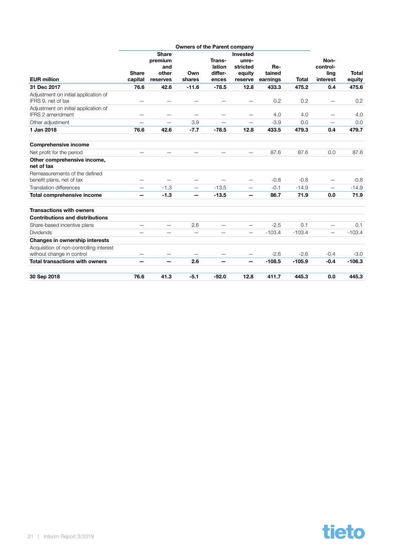|                                                                 |              |                         | <b>Owners of the Parent company</b> |                          |                          |          |              |                          |              |
|-----------------------------------------------------------------|--------------|-------------------------|-------------------------------------|--------------------------|--------------------------|----------|--------------|--------------------------|--------------|
|                                                                 |              | <b>Share</b><br>premium |                                     | Trans-                   | <b>Invested</b><br>unre- |          |              | Non-                     |              |
|                                                                 |              | and                     |                                     | lation                   | stricted                 | Re-      |              | control-                 |              |
|                                                                 | <b>Share</b> | other                   | Own                                 | differ-                  | equity                   | tained   |              | ling                     | <b>Total</b> |
| <b>EUR</b> million                                              | capital      | reserves                | shares                              | ences                    | reserve                  | earnings | <b>Total</b> | interest                 | equity       |
| 31 Dec 2017                                                     | 76.6         | 42.6                    | $-11.6$                             | $-78.5$                  | 12.8                     | 433.3    | 475.2        | 0.4                      | 475.6        |
| Adjustment on initial application of<br>IFRS 9, net of tax      |              |                         |                                     |                          |                          | 0.2      | 0.2          |                          | 0.2          |
| Adjustment on initial application of<br><b>IFRS 2 amendment</b> | -            | -                       |                                     |                          | $\overline{\phantom{0}}$ | 4.0      | 4.0          |                          | 4.0          |
| Other adjustment                                                | —            | —                       | 3.9                                 | —                        | —                        | $-3.9$   | 0.0          |                          | 0.0          |
| 1 Jan 2018                                                      | 76.6         | 42.6                    | $-7.7$                              | $-78.5$                  | 12.8                     | 433.5    | 479.3        | 0.4                      | 479.7        |
| <b>Comprehensive income</b>                                     |              |                         |                                     |                          |                          |          |              |                          |              |
| Net profit for the period                                       |              |                         |                                     | $\overline{\phantom{0}}$ | $\overline{\phantom{0}}$ | 87.6     | 87.6         | 0.0                      | 87.6         |
| Other comprehensive income,<br>net of tax                       |              |                         |                                     |                          |                          |          |              |                          |              |
| Remeasurements of the defined<br>benefit plans, net of tax      |              |                         |                                     |                          | —                        | $-0.8$   | $-0.8$       |                          | $-0.8$       |
| <b>Translation differences</b>                                  |              | $-1.3$                  |                                     | $-13.5$                  | $\overline{\phantom{0}}$ | $-0.1$   | $-14.9$      |                          | $-14.9$      |
| Total comprehensive income                                      |              | $-1.3$                  | -                                   | $-13.5$                  | —                        | 86.7     | 71.9         | 0.0                      | 71.9         |
| <b>Transactions with owners</b>                                 |              |                         |                                     |                          |                          |          |              |                          |              |
| <b>Contributions and distributions</b>                          |              |                         |                                     |                          |                          |          |              |                          |              |
| Share-based incentive plans                                     | —            | —                       | 2.6                                 | $\overline{\phantom{0}}$ | $\overline{\phantom{0}}$ | $-2.5$   | 0.1          | $\overline{\phantom{0}}$ | 0.1          |
| <b>Dividends</b>                                                |              |                         |                                     |                          | —                        | $-103.4$ | $-103.4$     | $\overline{\phantom{0}}$ | $-103.4$     |
| Changes in ownership interests                                  |              |                         |                                     |                          |                          |          |              |                          |              |
| Acquisition of non-controlling interest                         |              |                         |                                     |                          |                          |          |              |                          |              |
| without change in control                                       |              |                         |                                     |                          | —                        | $-2.6$   | $-2.6$       | $-0.4$                   | $-3.0$       |
| <b>Total transactions with owners</b>                           |              | -                       | 2.6                                 |                          | —                        | $-108.5$ | $-105.9$     | $-0.4$                   | $-106.3$     |
| 30 Sep 2018                                                     | 76.6         | 41.3                    | $-5.1$                              | $-92.0$                  | 12.8                     | 411.7    | 445.3        | 0.0                      | 445.3        |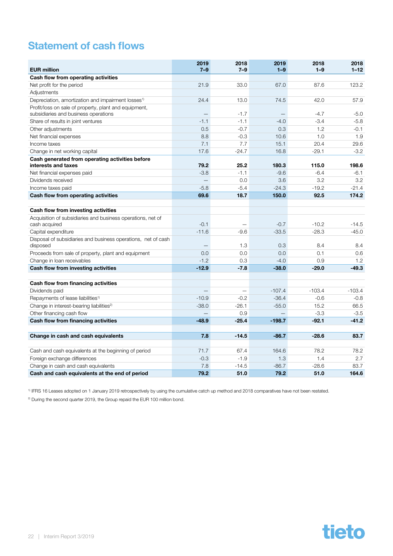### <span id="page-21-0"></span>Statement of cash flows

| <b>EUR million</b>                                                        | 2019<br>$7 - 9$          | 2018<br>$7 - 9$          | 2019<br>$1-9$ | 2018<br>$1-9$ | 2018<br>$1 - 12$ |
|---------------------------------------------------------------------------|--------------------------|--------------------------|---------------|---------------|------------------|
| Cash flow from operating activities                                       |                          |                          |               |               |                  |
| Net profit for the period                                                 | 21.9                     | 33.0                     | 67.0          | 87.6          | 123.2            |
| Adjustments                                                               |                          |                          |               |               |                  |
| Depreciation, amortization and impairment losses <sup>1)</sup>            | 24.4                     | 13.0                     | 74.5          | 42.0          | 57.9             |
| Profit/loss on sale of property, plant and equipment,                     |                          |                          |               |               |                  |
| subsidiaries and business operations                                      | $\overline{\phantom{0}}$ | $-1.7$                   |               | $-4.7$        | $-5.0$           |
| Share of results in joint ventures                                        | $-1.1$                   | $-1.1$                   | $-4.0$        | $-3.4$        | $-5.8$           |
| Other adjustments                                                         | 0.5                      | $-0.7$                   | 0.3           | 1.2           | $-0.1$           |
| Net financial expenses                                                    | 8.8                      | $-0.3$                   | 10.6          | 1.0           | 1.9              |
| Income taxes                                                              | 7.1                      | 7.7                      | 15.1          | 20.4          | 29.6             |
| Change in net working capital                                             | 17.6                     | $-24.7$                  | 16.8          | $-29.1$       | $-3.2$           |
| Cash generated from operating activities before                           |                          |                          |               |               |                  |
| interests and taxes                                                       | 79.2                     | 25.2                     | 180.3         | 115.0         | 198.6            |
| Net financial expenses paid                                               | $-3.8$                   | $-1.1$                   | $-9.6$        | $-6.4$        | $-6.1$           |
| Dividends received                                                        | $\equiv$                 | 0.0                      | 3.6           | 3.2           | 3.2              |
| Income taxes paid                                                         | $-5.8$                   | $-5.4$                   | $-24.3$       | $-19.2$       | $-21.4$          |
| Cash flow from operating activities                                       | 69.6                     | 18.7                     | 150.0         | 92.5          | 174.2            |
| Cash flow from investing activities                                       |                          |                          |               |               |                  |
| Acquisition of subsidiaries and business operations, net of               |                          |                          |               |               |                  |
| cash acquired                                                             | $-0.1$                   |                          | $-0.7$        | $-10.2$       | $-14.5$          |
| Capital expenditure                                                       | $-11.6$                  | $-9.6$                   | $-33.5$       | $-28.3$       | $-45.0$          |
| Disposal of subsidiaries and business operations, net of cash<br>disposed |                          | 1.3                      | 0.3           | 8.4           | 8.4              |
| Proceeds from sale of property, plant and equipment                       | 0.0                      | 0.0                      | 0.0           | 0.1           | 0.6              |
| Change in loan receivables                                                | $-1.2$                   | 0.3                      | $-4.0$        | 0.9           | 1.2              |
| Cash flow from investing activities                                       | $-12.9$                  | $-7.8$                   | $-38.0$       | $-29.0$       | $-49.3$          |
| Cash flow from financing activities                                       |                          |                          |               |               |                  |
| Dividends paid                                                            | $\equiv$                 | $\overline{\phantom{0}}$ | $-107.4$      | $-103.4$      | $-103.4$         |
| Repayments of lease liabilities <sup>1)</sup>                             | $-10.9$                  | $-0.2$                   | $-36.4$       | $-0.6$        | $-0.8$           |
| Change in interest-bearing liabilities <sup>2)</sup>                      | $-38.0$                  | $-26.1$                  | $-55.0$       | 15.2          | 66.5             |
| Other financing cash flow                                                 |                          | 0.9                      |               | $-3.3$        | $-3.5$           |
| Cash flow from financing activities                                       | $-48.9$                  | $-25.4$                  | $-198.7$      | $-92.1$       | $-41.2$          |
|                                                                           |                          |                          |               |               |                  |
| Change in cash and cash equivalents                                       | 7.8                      | $-14.5$                  | $-86.7$       | $-28.6$       | 83.7             |
| Cash and cash equivalents at the beginning of period                      | 71.7                     | 67.4                     | 164.6         | 78.2          | 78.2             |
| Foreign exchange differences                                              | $-0.3$                   | $-1.9$                   | 1.3           | 1.4           | 2.7              |
| Change in cash and cash equivalents                                       | 7.8                      | $-14.5$                  | $-86.7$       | $-28.6$       | 83.7             |
| Cash and cash equivalents at the end of period                            | 79.2                     | 51.0                     | 79.2          | 51.0          | 164.6            |

1) IFRS 16 Leases adopted on 1 January 2019 retrospectively by using the cumulative catch up method and 2018 comparatives have not been restated.

<sup>2)</sup> During the second quarter 2019, the Group repaid the EUR 100 million bond.

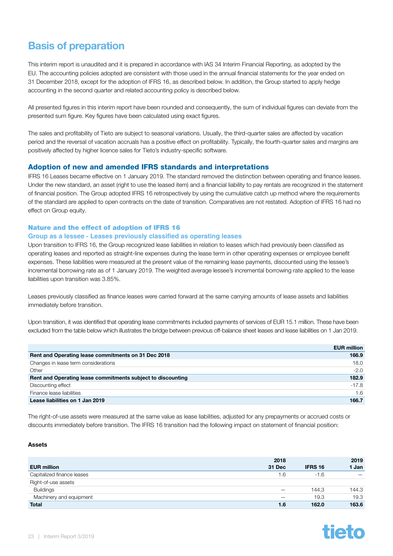### <span id="page-22-0"></span>Basis of preparation

This interim report is unaudited and it is prepared in accordance with IAS 34 Interim Financial Reporting, as adopted by the EU. The accounting policies adopted are consistent with those used in the annual financial statements for the year ended on 31 December 2018, except for the adoption of IFRS 16, as described below. In addition, the Group started to apply hedge accounting in the second quarter and related accounting policy is described below.

All presented figures in this interim report have been rounded and consequently, the sum of individual figures can deviate from the presented sum figure. Key figures have been calculated using exact figures.

The sales and profitability of Tieto are subject to seasonal variations. Usually, the third-quarter sales are affected by vacation period and the reversal of vacation accruals has a positive effect on profitability. Typically, the fourth-quarter sales and margins are positively affected by higher licence sales for Tieto's industry-specific software.

#### Adoption of new and amended IFRS standards and interpretations

IFRS 16 Leases became effective on 1 January 2019. The standard removed the distinction between operating and finance leases. Under the new standard, an asset (right to use the leased item) and a financial liability to pay rentals are recognized in the statement of financial position. The Group adopted IFRS 16 retrospectively by using the cumulative catch up method where the requirements of the standard are applied to open contracts on the date of transition. Comparatives are not restated. Adoption of IFRS 16 had no effect on Group equity.

#### Nature and the effect of adoption of IFRS 16

#### **Group as a lessee - Leases previously classified as operating leases**

Upon transition to IFRS 16, the Group recognized lease liabilities in relation to leases which had previously been classified as operating leases and reported as straight-line expenses during the lease term in other operating expenses or employee benefit expenses. These liabilities were measured at the present value of the remaining lease payments, discounted using the lessee's incremental borrowing rate as of 1 January 2019. The weighted average lessee's incremental borrowing rate applied to the lease liabilities upon transition was 3.85%.

Leases previously classified as finance leases were carried forward at the same carrying amounts of lease assets and liabilities immediately before transition.

Upon transition, it was identified that operating lease commitments included payments of services of EUR 15.1 million. These have been excluded from the table below which illustrates the bridge between previous off-balance sheet leases and lease liabilities on 1 Jan 2019.

|                                                             | <b>EUR million</b> |
|-------------------------------------------------------------|--------------------|
| Rent and Operating lease commitments on 31 Dec 2018         | 166.9              |
| Changes in lease term considerations                        | 18.0               |
| Other                                                       | $-2.0$             |
| Rent and Operating lease commitments subject to discounting | 182.9              |
| Discounting effect                                          | $-17.8$            |
| Finance lease liabilities                                   | 1.6                |
| Lease liabilities on 1 Jan 2019                             | 166.7              |

The right-of-use assets were measured at the same value as lease liabilities, adjusted for any prepayments or accrued costs or discounts immediately before transition. The IFRS 16 transition had the following impact on statement of financial position:

#### **Assets**

|                            | 2018                     |                | 2019                     |
|----------------------------|--------------------------|----------------|--------------------------|
| <b>EUR million</b>         | 31 Dec                   | <b>IFRS 16</b> | 1 Jan                    |
| Capitalized finance leases | 1.6                      | $-1.6$         | $\overline{\phantom{0}}$ |
| Right-of-use assets        |                          |                |                          |
| <b>Buildings</b>           | $\overline{\phantom{m}}$ | 144.3          | 144.3                    |
| Machinery and equipment    | $\overline{\phantom{0}}$ | 19.3           | 19.3                     |
| <b>Total</b>               | 1.6                      | 162.0          | 163.6                    |

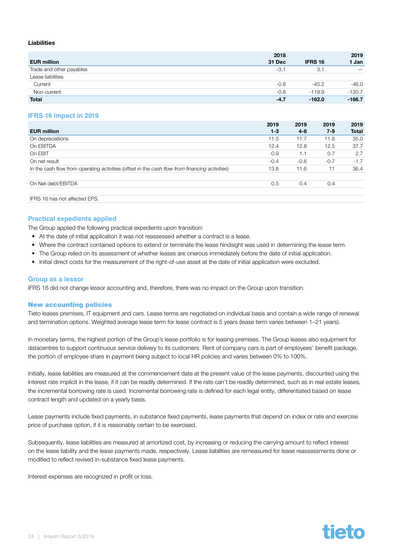#### <span id="page-23-0"></span>Liabilities

|                          | 2018   |                | 2019                     |
|--------------------------|--------|----------------|--------------------------|
| <b>EUR million</b>       | 31 Dec | <b>IFRS 16</b> | 1 Jan                    |
| Trade and other payables | $-3.1$ | 3.1            | $\overline{\phantom{m}}$ |
| Lease liabilities        |        |                |                          |
| Current                  | $-0.8$ | $-45.2$        | $-46.0$                  |
| Non-current              | $-0.8$ | $-119.9$       | $-120.7$                 |
| <b>Total</b>             | $-4.7$ | $-162.0$       | $-166.7$                 |

#### **IFRS 16 impact in 2019**

|                                                                                                | 2019    | 2019   | 2019   | 2019         |
|------------------------------------------------------------------------------------------------|---------|--------|--------|--------------|
| <b>EUR million</b>                                                                             | $1 - 3$ | 4-6    | $7-9$  | <b>Total</b> |
| On depreciations                                                                               | 11.5    | 11.7   | 11.8   | 35.0         |
| On EBITDA                                                                                      | 12.4    | 12.8   | 12.5   | 37.7         |
| On EBIT                                                                                        | 0.9     | 1.1    | 0.7    | 2.7          |
| On net result                                                                                  | $-0.4$  | $-0.6$ | $-0.7$ | $-1.7$       |
| In the cash flow from operating activities (offset in the cash flow from financing activities) | 13.8    | 11.6   | 11     | 36.4         |
| On Net debt/EBITDA                                                                             | 0.5     | 0.4    | 0.4    |              |
| IFRS 16 has not affected EPS.                                                                  |         |        |        |              |

#### **Practical expedients applied**

The Group applied the following practical expedients upon transition:

- At the date of initial application it was not reassessed whether a contract is a lease.
- Where the contract contained options to extend or terminate the lease hindsight was used in determining the lease term.
- The Group relied on its assessment of whether leases are onerous immediately before the date of initial application.
- Initial direct costs for the measurement of the right-of-use asset at the date of initial application were excluded.

#### **Group as a lessor**

IFRS 16 did not change lessor accounting and, therefore, there was no impact on the Group upon transition.

#### New accounting policies

Tieto leases premises, IT equipment and cars. Lease terms are negotiated on individual basis and contain a wide range of renewal and termination options. Weighted average lease term for lease contract is 5 years (lease term varies between 1–21 years).

In monetary terms, the highest portion of the Group's lease portfolio is for leasing premises. The Group leases also equipment for datacentres to support continuous service delivery to its customers. Rent of company cars is part of employees' benefit package, the portion of employee share in payment being subject to local HR policies and varies between 0% to 100%.

Initially, lease liabilities are measured at the commencement date at the present value of the lease payments, discounted using the interest rate implicit in the lease, if it can be readily determined. If the rate can't be readily determined, such as in real estate leases, the incremental borrowing rate is used. Incremental borrowing rate is defined for each legal entity, differentiated based on lease contract length and updated on a yearly basis.

Lease payments include fixed payments, in substance fixed payments, lease payments that depend on index or rate and exercise price of purchase option, if it is reasonably certain to be exercised.

Subsequently, lease liabilities are measured at amortized cost, by increasing or reducing the carrying amount to reflect interest on the lease liability and the lease payments made, respectively. Lease liabilities are remeasured for lease reassessments done or modified to reflect revised in-substance fixed lease payments.

Interest expenses are recognized in profit or loss.

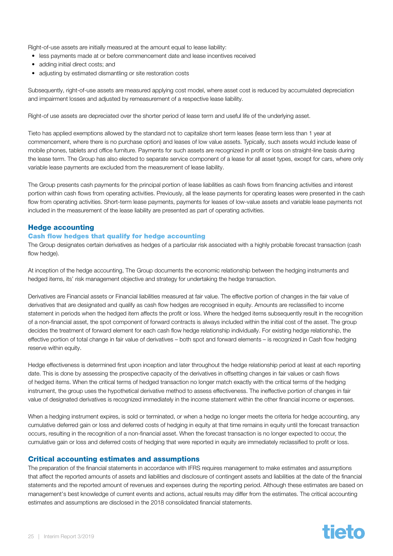Right-of-use assets are initially measured at the amount equal to lease liability:

- less payments made at or before commencement date and lease incentives received
- adding initial direct costs; and
- adjusting by estimated dismantling or site restoration costs

Subsequently, right-of-use assets are measured applying cost model, where asset cost is reduced by accumulated depreciation and impairment losses and adjusted by remeasurement of a respective lease liability.

Right-of use assets are depreciated over the shorter period of lease term and useful life of the underlying asset.

Tieto has applied exemptions allowed by the standard not to capitalize short term leases (lease term less than 1 year at commencement, where there is no purchase option) and leases of low value assets. Typically, such assets would include lease of mobile phones, tablets and office furniture. Payments for such assets are recognized in profit or loss on straight-line basis during the lease term. The Group has also elected to separate service component of a lease for all asset types, except for cars, where only variable lease payments are excluded from the measurement of lease liability.

The Group presents cash payments for the principal portion of lease liabilities as cash flows from financing activities and interest portion within cash flows from operating activities. Previously, all the lease payments for operating leases were presented in the cash flow from operating activities. Short-term lease payments, payments for leases of low-value assets and variable lease payments not included in the measurement of the lease liability are presented as part of operating activities.

#### Hedge accounting

#### Cash flow hedges that qualify for hedge accounting

The Group designates certain derivatives as hedges of a particular risk associated with a highly probable forecast transaction (cash flow hedge).

At inception of the hedge accounting, The Group documents the economic relationship between the hedging instruments and hedged items, its' risk management objective and strategy for undertaking the hedge transaction.

Derivatives are Financial assets or Financial liabilities measured at fair value. The effective portion of changes in the fair value of derivatives that are designated and qualify as cash flow hedges are recognised in equity. Amounts are reclassified to income statement in periods when the hedged item affects the profit or loss. Where the hedged items subsequently result in the recognition of a non-financial asset, the spot component of forward contracts is always included within the initial cost of the asset. The group decides the treatment of forward element for each cash flow hedge relationship individually. For existing hedge relationship, the effective portion of total change in fair value of derivatives – both spot and forward elements – is recognized in Cash flow hedging reserve within equity.

Hedge effectiveness is determined first upon inception and later throughout the hedge relationship period at least at each reporting date. This is done by assessing the prospective capacity of the derivatives in offsetting changes in fair values or cash flows of hedged items. When the critical terms of hedged transaction no longer match exactly with the critical terms of the hedging instrument, the group uses the hypothetical derivative method to assess effectiveness. The ineffective portion of changes in fair value of designated derivatives is recognized immediately in the income statement within the other financial income or expenses.

When a hedging instrument expires, is sold or terminated, or when a hedge no longer meets the criteria for hedge accounting, any cumulative deferred gain or loss and deferred costs of hedging in equity at that time remains in equity until the forecast transaction occurs, resulting in the recognition of a non-financial asset. When the forecast transaction is no longer expected to occur, the cumulative gain or loss and deferred costs of hedging that were reported in equity are immediately reclassified to profit or loss.

#### Critical accounting estimates and assumptions

The preparation of the financial statements in accordance with IFRS requires management to make estimates and assumptions that affect the reported amounts of assets and liabilities and disclosure of contingent assets and liabilities at the date of the financial statements and the reported amount of revenues and expenses during the reporting period. Although these estimates are based on management's best knowledge of current events and actions, actual results may differ from the estimates. The critical accounting estimates and assumptions are disclosed in the 2018 consolidated financial statements.

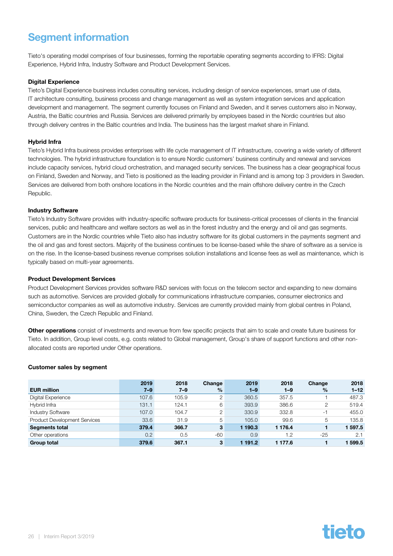### <span id="page-25-0"></span>Segment information

Tieto's operating model comprises of four businesses, forming the reportable operating segments according to IFRS: Digital Experience, Hybrid Infra, Industry Software and Product Development Services.

#### **Digital Experience**

Tieto's Digital Experience business includes consulting services, including design of service experiences, smart use of data, IT architecture consulting, business process and change management as well as system integration services and application development and management. The segment currently focuses on Finland and Sweden, and it serves customers also in Norway, Austria, the Baltic countries and Russia. Services are delivered primarily by employees based in the Nordic countries but also through delivery centres in the Baltic countries and India. The business has the largest market share in Finland.

#### Hybrid Infra

Tieto's Hybrid Infra business provides enterprises with life cycle management of IT infrastructure, covering a wide variety of different technologies. The hybrid infrastructure foundation is to ensure Nordic customers' business continuity and renewal and services include capacity services, hybrid cloud orchestration, and managed security services. The business has a clear geographical focus on Finland, Sweden and Norway, and Tieto is positioned as the leading provider in Finland and is among top 3 providers in Sweden. Services are delivered from both onshore locations in the Nordic countries and the main offshore delivery centre in the Czech Republic.

#### Industry Software

Tieto's Industry Software provides with industry-specific software products for business-critical processes of clients in the financial services, public and healthcare and welfare sectors as well as in the forest industry and the energy and oil and gas segments. Customers are in the Nordic countries while Tieto also has industry software for its global customers in the payments segment and the oil and gas and forest sectors. Majority of the business continues to be license-based while the share of software as a service is on the rise. In the license-based business revenue comprises solution installations and license fees as well as maintenance, which is typically based on multi-year agreements.

#### Product Development Services

Product Development Services provides software R&D services with focus on the telecom sector and expanding to new domains such as automotive. Services are provided globally for communications infrastructure companies, consumer electronics and semiconductor companies as well as automotive industry. Services are currently provided mainly from global centres in Poland, China, Sweden, the Czech Republic and Finland.

Other operations consist of investments and revenue from few specific projects that aim to scale and create future business for Tieto. In addition, Group level costs, e.g. costs related to Global management, Group's share of support functions and other nonallocated costs are reported under Other operations.

#### Customer sales by segment

|                                     | 2019    | 2018    | Change        | 2019    | 2018    | Change | 2018     |
|-------------------------------------|---------|---------|---------------|---------|---------|--------|----------|
| <b>EUR million</b>                  | $7 - 9$ | $7 - 9$ | $\frac{0}{2}$ | $1 - 9$ | $1 - 9$ | $\%$   | $1 - 12$ |
| Digital Experience                  | 107.6   | 105.9   | 2             | 360.5   | 357.5   |        | 487.3    |
| Hybrid Infra                        | 131.1   | 124.1   | 6             | 393.9   | 386.6   | 2      | 519.4    |
| <b>Industry Software</b>            | 107.0   | 104.7   | 2             | 330.9   | 332.8   | -1     | 455.0    |
| <b>Product Development Services</b> | 33.6    | 31.9    | 5             | 105.0   | 99.6    | 5      | 135.8    |
| <b>Segments total</b>               | 379.4   | 366.7   | $\mathbf{3}$  | 190.3   | 1 176.4 |        | 597.5    |
| Other operations                    | 0.2     | 0.5     | $-60$         | 0.9     | 1.2     | $-25$  | 2.1      |
| <b>Group total</b>                  | 379.6   | 367.1   | 3             | 191.2   | 1 177.6 |        | 599.5    |

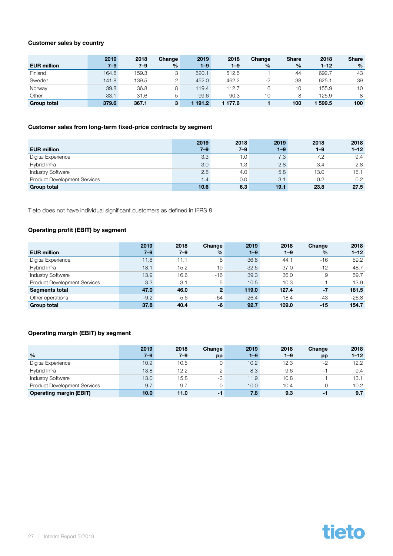#### Customer sales by country

|                    | 2019    | 2018  | Change        | 2019    | 2018    | Change        | <b>Share</b> | 2018     | <b>Share</b>  |
|--------------------|---------|-------|---------------|---------|---------|---------------|--------------|----------|---------------|
| <b>EUR million</b> | $7 - 9$ | 7–9   | $\frac{0}{2}$ | $1 - 9$ | $1 - 9$ | $\frac{0}{0}$ | $\%$         | $1 - 12$ | $\frac{0}{0}$ |
| Finland            | 164.8   | 159.3 |               | 520.1   | 512.5   |               | 44           | 692.7    | 43            |
| Sweden             | 141.8   | 139.5 |               | 452.0   | 462.2   | $-2$          | 38           | 625.1    | 39            |
| Norway             | 39.8    | 36.8  |               | 119.4   | 112.7   | 6             | 10           | 155.9    | 10            |
| Other              | 33.1    | 31.6  | 5             | 99.6    | 90.3    | 10            | 8            | 125.9    | 8             |
| <b>Group total</b> | 379.6   | 367.1 | 3             | 191.2   | ∣ 177.6 |               | 100          | 599.5    | 100           |

#### Customer sales from long-term fixed-price contracts by segment

|                                     | 2019    | 2018    | 2019    | 2018    | 2018     |
|-------------------------------------|---------|---------|---------|---------|----------|
| <b>EUR million</b>                  | $7 - 9$ | $7 - 9$ | $1 - 9$ | $1 - 9$ | $1 - 12$ |
| Digital Experience                  | 3.3     | 1.0     | 7.3     | 7.2     | 9.4      |
| Hybrid Infra                        | 3.0     | 1.3     | 2.8     | 3.4     | 2.8      |
| <b>Industry Software</b>            | 2.8     | 4.0     | 5.8     | 13.0    | 15.1     |
| <b>Product Development Services</b> | 1.4     | 0.0     | 3.1     | 0.2     | 0.2      |
| <b>Group total</b>                  | 10.6    | 6.3     | 19.1    | 23.8    | 27.5     |

Tieto does not have individual significant customers as defined in IFRS 8.

#### Operating profit (EBIT) by segment

|                                     | 2019    | 2018    | Change         | 2019    | 2018    | Change | 2018     |
|-------------------------------------|---------|---------|----------------|---------|---------|--------|----------|
| <b>EUR million</b>                  | $7 - 9$ | $7 - 9$ | $\%$           | $1 - 9$ | $1 - 9$ | $\%$   | $1 - 12$ |
| Digital Experience                  | 11.8    | 11.1    | 6              | 36.8    | 44.1    | $-16$  | 59.2     |
| Hybrid Infra                        | 18.1    | 15.2    | 19             | 32.5    | 37.0    | $-12$  | 48.7     |
| <b>Industry Software</b>            | 13.9    | 16.6    | $-16$          | 39.3    | 36.0    | 9      | 59.7     |
| <b>Product Development Services</b> | 3.3     | 3.1     | 5              | 10.5    | 10.3    |        | 13.9     |
| <b>Segments total</b>               | 47.0    | 46.0    | $\overline{2}$ | 119.0   | 127.4   | $-7$   | 181.5    |
| Other operations                    | $-9.2$  | $-5.6$  | $-64$          | $-26.4$ | $-18.4$ | $-43$  | $-26.8$  |
| <b>Group total</b>                  | 37.8    | 40.4    | -6             | 92.7    | 109.0   | $-15$  | 154.7    |

#### Operating margin (EBIT) by segment

|                                     | 2019    | 2018    | Change | 2019    | 2018    | Change   | 2018     |
|-------------------------------------|---------|---------|--------|---------|---------|----------|----------|
| $\%$                                | $7 - 9$ | $7 - 9$ | pp     | $1 - 9$ | $1 - 9$ | pp       | $1 - 12$ |
| Digital Experience                  | 10.9    | 10.5    |        | 10.2    | 12.3    | $-2$     | 12.2     |
| Hybrid Infra                        | 13.8    | 12.2    |        | 8.3     | 9.6     | $-1$     | 9.4      |
| <b>Industry Software</b>            | 13.0    | 15.8    | -3     | 11.9    | 10.8    |          | 13.1     |
| <b>Product Development Services</b> | 9.7     | 9.7     |        | 10.0    | 10.4    | $\Omega$ | 10.2     |
| <b>Operating margin (EBIT)</b>      | 10.0    | 11.0    | -1     | 7.8     | 9.3     | -1       | 9.7      |

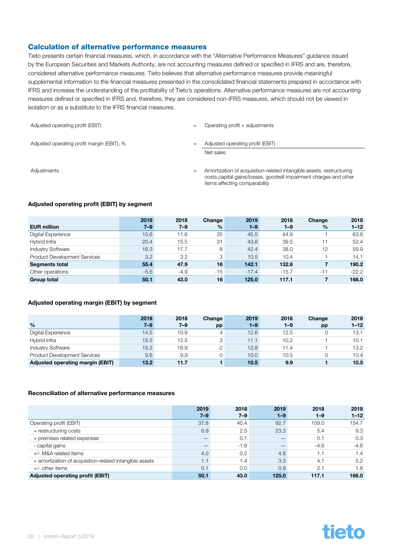#### Calculation of alternative performance measures

Tieto presents certain financial measures, which, in accordance with the "Alternative Performance Measures" guidance issued by the European Securities and Markets Authority, are not accounting measures defined or specified in IFRS and are, therefore, considered alternative performance measures. Tieto believes that alternative performance measures provide meaningful supplemental information to the financial measures presented in the consolidated financial statements prepared in accordance with IFRS and increase the understanding of the profitability of Tieto's operations. Alternative performance measures are not accounting measures defined or specified in IFRS and, therefore, they are considered non-IFRS measures, which should not be viewed in isolation or as a substitute to the IFRS financial measures.

| Adjusted operating profit (EBIT)           | $=$ | Operating profit $+$ adjustments                                                                                                                                            |
|--------------------------------------------|-----|-----------------------------------------------------------------------------------------------------------------------------------------------------------------------------|
| Adjusted operating profit margin (EBIT), % | $=$ | Adjusted operating profit (EBIT)                                                                                                                                            |
|                                            |     | Net sales                                                                                                                                                                   |
| Adjustments                                | $=$ | Amortization of acquisition-related intangible assets, restructuring<br>costs, capital gains/losses, goodwill impairment charges and other<br>items affecting comparability |

#### Adjusted operating profit (EBIT) by segment

|                                     | 2019    | 2018    | Change        | 2019    | 2018    | Change        | 2018     |
|-------------------------------------|---------|---------|---------------|---------|---------|---------------|----------|
| <b>EUR million</b>                  | $7 - 9$ | $7 - 9$ | $\frac{9}{6}$ | $1 - 9$ | $1 - 9$ | $\frac{1}{2}$ | $1 - 12$ |
| Digital Experience                  | 15.6    | 11.6    | 35            | 45.5    | 44.8    |               | 63.8     |
| Hybrid Infra                        | 20.4    | 15.5    | 31            | 43.8    | 39.5    | 11            | 52.4     |
| <b>Industry Software</b>            | 16.3    | 17.7    | -8            | 42.4    | 38.0    | 12            | 59.9     |
| <b>Product Development Services</b> | 3.2     | 3.2     | 3             | 10.5    | 10.4    |               | 14.1     |
| <b>Segments total</b>               | 55.4    | 47.9    | 16            | 142.1   | 132.8   | 7             | 190.2    |
| Other operations                    | $-5.6$  | $-4.9$  | $-15$         | $-17.4$ | $-15.7$ | $-11$         | $-22.2$  |
| <b>Group total</b>                  | 50.1    | 43.0    | 16            | 125.0   | 117.1   |               | 168.0    |

#### Adjusted operating margin (EBIT) by segment

| $\frac{0}{0}$                       | 2019<br>$7 - 9$ | 2018<br>7–9 | Change<br>pp | 2019<br>$1 - 9$ | 2018<br>$1 - 9$ | Change<br>pp | 2018<br>$1 - 12$ |
|-------------------------------------|-----------------|-------------|--------------|-----------------|-----------------|--------------|------------------|
| Digital Experience                  | 14.5            | 10.9        | 4            | 12.6            | 12.5            | $\Omega$     | 13.1             |
| Hybrid Infra                        | 15.5            | 12.5        | 3            | 11.1            | 10.2            |              | 10.1             |
| <b>Industry Software</b>            | 15.2            | 16.9        | $-2$         | 12.8            | 11.4            |              | 13.2             |
| <b>Product Development Services</b> | 9.6             | 9.9         |              | 10.0            | 10.5            | 0            | 10.4             |
| Adjusted operating margin (EBIT)    | 13.2            | 11.7        |              | 10.5            | 9.9             |              | 10.5             |

#### Reconciliation of alternative performance measures

|                                                         | 2019    | 2018    | 2019                     | 2018    | 2018     |
|---------------------------------------------------------|---------|---------|--------------------------|---------|----------|
|                                                         | $7 - 9$ | $7 - 9$ | $1 - 9$                  | $1 - 9$ | $1 - 12$ |
| Operating profit (EBIT)                                 | 37.8    | 40.4    | 92.7                     | 109.0   | 154.7    |
| + restructuring costs                                   | 6.9     | 2.5     | 23.3                     | 5.4     | 9.3      |
| + premises related expenses                             | -       | 0.1     | $\overline{\phantom{a}}$ | 0.7     | 0.3      |
| - capital gains                                         |         | $-1.6$  |                          | $-4.6$  | $-4.6$   |
| +/- M&A related items                                   | 4.0     | 0.2     | 4.8                      |         | 1.4      |
| + amortization of acquisition-related intangible assets | 1.1     | 1.4     | 3.3                      | 4.1     | 5.2      |
| $+/-$ other items                                       | 0.1     | 0.0     | 0.9                      | 2.1     | 1.8      |
| Adjusted operating profit (EBIT)                        | 50.1    | 43.0    | 125.0                    | 117.1   | 168.0    |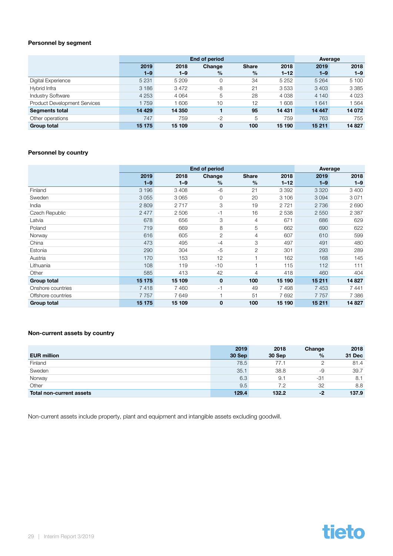#### Personnel by segment

|                                     |         | End of period |              | Average      |          |         |         |
|-------------------------------------|---------|---------------|--------------|--------------|----------|---------|---------|
|                                     | 2019    | 2018          | Change       | <b>Share</b> | 2018     | 2019    | 2018    |
|                                     | $1 - 9$ | $1 - 9$       | $\%$         | $\%$         | $1 - 12$ | $1 - 9$ | $1 - 9$ |
| Digital Experience                  | 5 2 3 1 | 5 2 0 9       | 0            | 34           | 5 2 5 2  | 5 2 6 4 | 5 100   |
| Hybrid Infra                        | 3 1 8 6 | 3472          | -8           | 21           | 3533     | 3 4 0 3 | 3 3 8 5 |
| <b>Industry Software</b>            | 4 2 5 3 | 4 0 64        | 5            | 28           | 4 0 38   | 4 140   | 4 0 2 3 |
| <b>Product Development Services</b> | 1759    | 606           | 10           | 12           | 608      | 1641    | 1564    |
| <b>Segments total</b>               | 14 4 29 | 14 350        |              | 95           | 14 431   | 14 4 47 | 14 072  |
| Other operations                    | 747     | 759           | $-2$         | 5            | 759      | 763     | 755     |
| <b>Group total</b>                  | 15 175  | 15 109        | $\mathbf{0}$ | 100          | 15 190   | 15 211  | 14 8 27 |

#### Personnel by country

|                    |         | <b>End of period</b> |                | Average        |          |         |         |
|--------------------|---------|----------------------|----------------|----------------|----------|---------|---------|
|                    | 2019    | 2018                 | Change         | <b>Share</b>   | 2018     | 2019    | 2018    |
|                    | $1 - 9$ | $1 - 9$              | $\%$           | $\%$           | $1 - 12$ | $1 - 9$ | $1 - 9$ |
| Finland            | 3 1 9 6 | 3 4 0 8              | -6             | 21             | 3 3 9 2  | 3 3 2 0 | 3 4 0 0 |
| Sweden             | 3055    | 3 0 6 5              | 0              | 20             | 3 1 0 6  | 3 0 9 4 | 3071    |
| India              | 2809    | 2 7 1 7              | 3              | 19             | 2721     | 2 7 3 6 | 2690    |
| Czech Republic     | 2477    | 2 506                | -1             | 16             | 2 5 3 8  | 2 5 5 0 | 2 3 8 7 |
| Latvia             | 678     | 656                  | 3              | 4              | 671      | 686     | 629     |
| Poland             | 719     | 669                  | 8              | 5              | 662      | 690     | 622     |
| Norway             | 616     | 605                  | $\overline{2}$ | $\overline{4}$ | 607      | 610     | 599     |
| China              | 473     | 495                  | $-4$           | 3              | 497      | 491     | 480     |
| Estonia            | 290     | 304                  | $-5$           | $\overline{2}$ | 301      | 293     | 289     |
| Austria            | 170     | 153                  | 12             |                | 162      | 168     | 145     |
| Lithuania          | 108     | 119                  | $-10$          | 1              | 115      | 112     | 111     |
| Other              | 585     | 413                  | 42             | 4              | 418      | 460     | 404     |
| <b>Group total</b> | 15 175  | 15 109               | $\mathbf 0$    | 100            | 15 190   | 15 211  | 14 8 27 |
| Onshore countries  | 7418    | 7460                 | -1             | 49             | 7498     | 7453    | 7441    |
| Offshore countries | 7757    | 7649                 |                | 51             | 7692     | 7757    | 7 3 8 6 |
| <b>Group total</b> | 15 175  | 15 109               | $\mathbf 0$    | 100            | 15 190   | 15 211  | 14827   |

#### Non-current assets by country

|                          | 2019   | 2018   | Change | 2018   |
|--------------------------|--------|--------|--------|--------|
| <b>EUR million</b>       | 30 Sep | 30 Sep | $\%$   | 31 Dec |
| Finland                  | 78.5   | 77.1   |        | 81.4   |
| Sweden                   | 35.1   | 38.8   | -9     | 39.7   |
| Norway                   | 6.3    | 9.1    | -31    | 8.1    |
| Other                    | 9.5    | 7.2    | 32     | 8.8    |
| Total non-current assets | 129.4  | 132.2  | -2     | 137.9  |

Non-current assets include property, plant and equipment and intangible assets excluding goodwill.

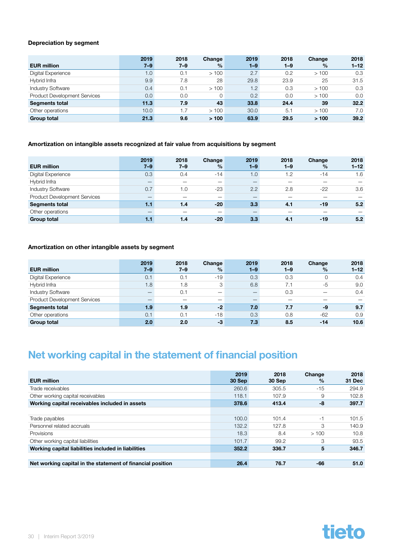#### <span id="page-29-0"></span>Depreciation by segment

| <b>EUR million</b>                  | 2019<br>$7 - 9$ | 2018<br>$7 - 9$ | Change<br>$\frac{9}{6}$ | 2019<br>$1 - 9$ | 2018<br>$1 - 9$ | Change<br>$\%$ | 2018<br>$1 - 12$ |
|-------------------------------------|-----------------|-----------------|-------------------------|-----------------|-----------------|----------------|------------------|
| Digital Experience                  | 1.0             | 0.1             | >100                    | 2.7             | 0.2             | >100           | 0.3              |
|                                     |                 |                 |                         |                 |                 |                |                  |
| Hybrid Infra                        | 9.9             | 7.8             | 28                      | 29.8            | 23.9            | 25             | 31.5             |
| <b>Industry Software</b>            | 0.4             | 0.1             | >100                    | 1.2             | 0.3             | >100           | 0.3              |
| <b>Product Development Services</b> | 0.0             | 0.0             | $\Omega$                | 0.2             | 0.0             | >100           | 0.0              |
| <b>Segments total</b>               | 11.3            | 7.9             | 43                      | 33.8            | 24.4            | 39             | 32.2             |
| Other operations                    | 10.0            | 1.7             | >100                    | 30.0            | 5.1             | >100           | 7.0              |
| <b>Group total</b>                  | 21.3            | 9.6             | >100                    | 63.9            | 29.5            | >100           | 39.2             |

#### Amortization on intangible assets recognized at fair value from acquisitions by segment

| <b>EUR million</b>                  | 2019<br>$7 - 9$ | 2018<br>$7 - 9$ | Change<br>$\%$           | 2019<br>$1 - 9$ | 2018<br>$1 - 9$ | Change<br>$\%$ | 2018<br>$1 - 12$ |
|-------------------------------------|-----------------|-----------------|--------------------------|-----------------|-----------------|----------------|------------------|
| Digital Experience                  | 0.3             | 0.4             | $-14$                    | 1.0             | 1.2             | $-14$          | 1.6              |
| Hybrid Infra                        |                 |                 | $\overline{\phantom{m}}$ |                 |                 |                |                  |
| <b>Industry Software</b>            | 0.7             | 1.0             | $-23$                    | 2.2             | 2.8             | $-22$          | 3.6              |
| <b>Product Development Services</b> |                 |                 |                          |                 |                 |                |                  |
| <b>Segments total</b>               | 1.1             | 1.4             | $-20$                    | 3.3             | 4.1             | $-19$          | 5.2              |
| Other operations                    |                 |                 | -                        | -               |                 |                |                  |
| <b>Group total</b>                  | 1.1             | 1.4             | $-20$                    | 3.3             | 4.1             | $-19$          | 5.2              |

#### Amortization on other intangible assets by segment

|                                     | 2019    | 2018    | Change        | 2019    | 2018    | Change | 2018     |
|-------------------------------------|---------|---------|---------------|---------|---------|--------|----------|
| <b>EUR million</b>                  | $7 - 9$ | $7 - 9$ | $\frac{9}{6}$ | $1 - 9$ | $1 - 9$ | $\%$   | $1 - 12$ |
| Digital Experience                  | 0.1     | 0.1     | $-19$         | 0.3     | 0.3     | 0      | 0.4      |
| Hybrid Infra                        | 1.8     | 1.8     | 3             | 6.8     | 7.1     | $-5$   | 9.0      |
| <b>Industry Software</b>            |         | 0.1     |               |         | 0.3     |        | 0.4      |
| <b>Product Development Services</b> |         |         | -             |         |         |        |          |
| <b>Segments total</b>               | 1.9     | 1.9     | $-2$          | 7.0     | 7.7     | -9     | 9.7      |
| Other operations                    | 0.1     | 0.1     | $-18$         | 0.3     | 0.8     | $-62$  | 0.9      |
| <b>Group total</b>                  | 2.0     | 2.0     | -3            | 7.3     | 8.5     | $-14$  | 10.6     |

### Net working capital in the statement of financial position

| <b>EUR million</b>                                         | 2019<br>30 Sep | 2018<br>30 Sep | Change<br>$\frac{0}{2}$ | 2018<br>31 Dec |
|------------------------------------------------------------|----------------|----------------|-------------------------|----------------|
| Trade receivables                                          | 260.6          | 305.5          | $-15$                   | 294.9          |
| Other working capital receivables                          | 118.1          | 107.9          | 9                       | 102.8          |
| Working capital receivables included in assets             | 378.6          | 413.4          | -8                      | 397.7          |
|                                                            |                |                |                         |                |
| Trade payables                                             | 100.0          | 101.4          | -1                      | 101.5          |
| Personnel related accruals                                 | 132.2          | 127.8          | З                       | 140.9          |
| Provisions                                                 | 18.3           | 8.4            | >100                    | 10.8           |
| Other working capital liabilities                          | 101.7          | 99.2           | 3                       | 93.5           |
| Working capital liabilities included in liabilities        | 352.2          | 336.7          | 5                       | 346.7          |
|                                                            |                |                |                         |                |
| Net working capital in the statement of financial position | 26.4           | 76.7           | -66                     | 51.0           |

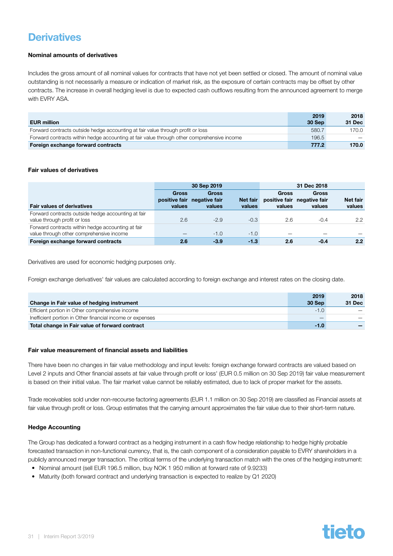### <span id="page-30-0"></span>**Derivatives**

#### Nominal amounts of derivatives

Includes the gross amount of all nominal values for contracts that have not yet been settled or closed. The amount of nominal value outstanding is not necessarily a measure or indication of market risk, as the exposure of certain contracts may be offset by other contracts. The increase in overall hedging level is due to expected cash outflows resulting from the announced agreement to merge with EVRY ASA.

|                                                                                            | 2019   | 2018   |
|--------------------------------------------------------------------------------------------|--------|--------|
| <b>EUR million</b>                                                                         | 30 Sep | 31 Dec |
| Forward contracts outside hedge accounting at fair value through profit or loss            | 580.7  | 170.0  |
| Forward contracts within hedge accounting at fair value through other comprehensive income | 196.5  |        |
| Foreign exchange forward contracts                                                         | 777.2  | 170.0  |

#### Fair values of derivatives

|                                                                                               |                        | 30 Sep 2019                                           |                    |                        |                                                       |                           |
|-----------------------------------------------------------------------------------------------|------------------------|-------------------------------------------------------|--------------------|------------------------|-------------------------------------------------------|---------------------------|
| <b>Fair values of derivatives</b>                                                             | <b>Gross</b><br>values | <b>Gross</b><br>positive fair negative fair<br>values | Net fair<br>values | <b>Gross</b><br>values | <b>Gross</b><br>positive fair negative fair<br>values | <b>Net fair</b><br>values |
| Forward contracts outside hedge accounting at fair<br>value through profit or loss            | 2.6                    | $-2.9$                                                | $-0.3$             | 2.6                    | $-0.4$                                                | $2.2^{\circ}$             |
| Forward contracts within hedge accounting at fair<br>value through other comprehensive income |                        | $-1.0$                                                | $-1.0$             |                        |                                                       |                           |
| Foreign exchange forward contracts                                                            | 2.6                    | $-3.9$                                                | $-1.3$             | 2.6                    | $-0.4$                                                | 2.2                       |

Derivatives are used for economic hedging purposes only.

Foreign exchange derivatives' fair values are calculated according to foreign exchange and interest rates on the closing date.

|                                                           | 2019   | 2018   |
|-----------------------------------------------------------|--------|--------|
| Change in Fair value of hedging instrument                | 30 Sep | 31 Dec |
| Efficient portion in Other comprehensive income           | $-1.0$ |        |
| Inefficient portion in Other financial income or expenses |        |        |
| Total change in Fair value of forward contract            | $-1.0$ |        |

#### Fair value measurement of financial assets and liabilities

There have been no changes in fair value methodology and input levels: foreign exchange forward contracts are valued based on Level 2 inputs and Other financial assets at fair value through profit or loss' (EUR 0.5 million on 30 Sep 2019) fair value measurement is based on their initial value. The fair market value cannot be reliably estimated, due to lack of proper market for the assets.

Trade receivables sold under non-recourse factoring agreements (EUR 1.1 million on 30 Sep 2019) are classified as Financial assets at fair value through profit or loss. Group estimates that the carrying amount approximates the fair value due to their short-term nature.

#### Hedge Accounting

The Group has dedicated a forward contract as a hedging instrument in a cash flow hedge relationship to hedge highly probable forecasted transaction in non-functional currency, that is, the cash component of a consideration payable to EVRY shareholders in a publicly announced merger transaction. The critical terms of the underlying transaction match with the ones of the hedging instrument:

- Nominal amount (sell EUR 196.5 million, buy NOK 1 950 million at forward rate of 9.9233)
- Maturity (both forward contract and underlying transaction is expected to realize by Q1 2020)

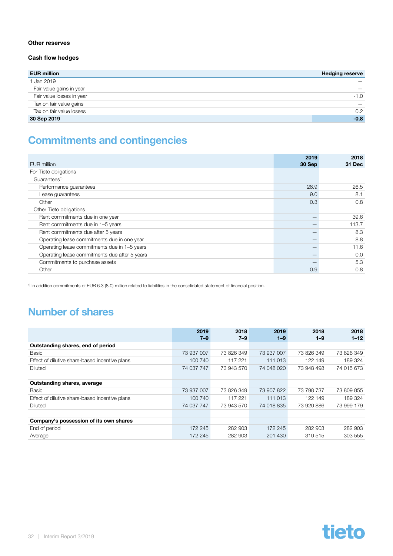#### <span id="page-31-0"></span>Other reserves

#### Cash flow hedges

| <b>EUR million</b>        | <b>Hedging reserve</b> |
|---------------------------|------------------------|
| 1 Jan 2019                |                        |
| Fair value gains in year  |                        |
| Fair value losses in year | $-1.0$                 |
| Tax on fair value gains   |                        |
| Tax on fair value losses  | 0.2                    |
| 30 Sep 2019               | $-0.8$                 |

### Commitments and contingencies

| EUR million                                   | 2019<br>30 Sep | 2018<br>31 Dec |
|-----------------------------------------------|----------------|----------------|
| For Tieto obligations                         |                |                |
|                                               |                |                |
| Guarantees <sup>1)</sup>                      |                |                |
| Performance guarantees                        | 28.9           | 26.5           |
| Lease guarantees                              | 9.0            | 8.1            |
| Other                                         | 0.3            | 0.8            |
| Other Tieto obligations                       |                |                |
| Rent commitments due in one year              |                | 39.6           |
| Rent commitments due in 1-5 years             |                | 113.7          |
| Rent commitments due after 5 years            |                | 8.3            |
| Operating lease commitments due in one year   |                | 8.8            |
| Operating lease commitments due in 1-5 years  |                | 11.6           |
| Operating lease commitments due after 5 years |                | 0.0            |
| Commitments to purchase assets                |                | 5.3            |
| Other                                         | 0.9            | 0.8            |

1) In addition commitments of EUR 6.3 (8.0) million related to liabilities in the consolidated statement of financial position.

### Number of shares

|                                                | 2019       | 2018       | 2019       | 2018       | 2018       |
|------------------------------------------------|------------|------------|------------|------------|------------|
|                                                | $7 - 9$    | $7 - 9$    | $1 - 9$    | $1 - 9$    | $1 - 12$   |
| Outstanding shares, end of period              |            |            |            |            |            |
| Basic                                          | 73 937 007 | 73 826 349 | 73 937 007 | 73 826 349 | 73 826 349 |
| Effect of dilutive share-based incentive plans | 100 740    | 117 221    | 111 013    | 122 149    | 189 324    |
| Diluted                                        | 74 037 747 | 73 943 570 | 74 048 020 | 73 948 498 | 74 015 673 |
|                                                |            |            |            |            |            |
| Outstanding shares, average                    |            |            |            |            |            |
| Basic                                          | 73 937 007 | 73 826 349 | 73 907 822 | 73 798 737 | 73 809 855 |
| Effect of dilutive share-based incentive plans | 100 740    | 117 221    | 111 013    | 122 149    | 189 324    |
| Diluted                                        | 74 037 747 | 73 943 570 | 74 018 835 | 73 920 886 | 73 999 179 |
|                                                |            |            |            |            |            |
| Company's possession of its own shares         |            |            |            |            |            |
| End of period                                  | 172 245    | 282 903    | 172 245    | 282 903    | 282 903    |
| Average                                        | 172 245    | 282 903    | 201 430    | 310 515    | 303 555    |

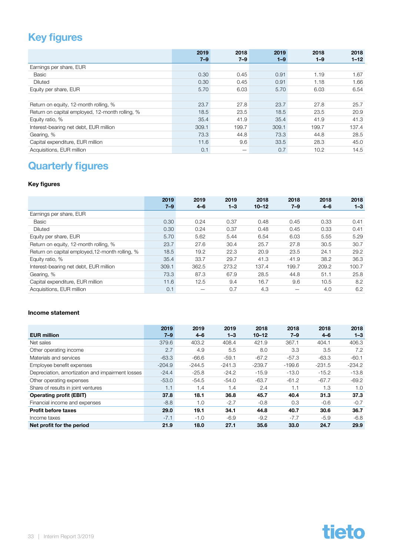### <span id="page-32-0"></span>Key figures

|                                                 | 2019<br>$7 - 9$ | 2018<br>$7 - 9$ | 2019<br>$1 - 9$ | 2018<br>$1 - 9$ | 2018<br>$1 - 12$ |
|-------------------------------------------------|-----------------|-----------------|-----------------|-----------------|------------------|
| Earnings per share, EUR                         |                 |                 |                 |                 |                  |
| Basic                                           | 0.30            | 0.45            | 0.91            | 1.19            | 1.67             |
| Diluted                                         | 0.30            | 0.45            | 0.91            | 1.18            | 1.66             |
| Equity per share, EUR                           | 5.70            | 6.03            | 5.70            | 6.03            | 6.54             |
|                                                 |                 |                 |                 |                 |                  |
| Return on equity, 12-month rolling, %           | 23.7            | 27.8            | 23.7            | 27.8            | 25.7             |
| Return on capital employed, 12-month rolling, % | 18.5            | 23.5            | 18.5            | 23.5            | 20.9             |
| Equity ratio, %                                 | 35.4            | 41.9            | 35.4            | 41.9            | 41.3             |
| Interest-bearing net debt, EUR million          | 309.1           | 199.7           | 309.1           | 199.7           | 137.4            |
| Gearing, %                                      | 73.3            | 44.8            | 73.3            | 44.8            | 28.5             |
| Capital expenditure, EUR million                | 11.6            | 9.6             | 33.5            | 28.3            | 45.0             |
| Acquisitions, EUR million                       | 0.1             | —               | 0.7             | 10.2            | 14.5             |

# Quarterly figures

#### Key figures

|                                                 | 2019    | 2019    | 2019    | 2018      | 2018    | 2018    | 2018    |
|-------------------------------------------------|---------|---------|---------|-----------|---------|---------|---------|
|                                                 | $7 - 9$ | $4 - 6$ | $1 - 3$ | $10 - 12$ | $7 - 9$ | $4 - 6$ | $1 - 3$ |
| Earnings per share, EUR                         |         |         |         |           |         |         |         |
| Basic                                           | 0.30    | 0.24    | 0.37    | 0.48      | 0.45    | 0.33    | 0.41    |
| <b>Diluted</b>                                  | 0.30    | 0.24    | 0.37    | 0.48      | 0.45    | 0.33    | 0.41    |
| Equity per share, EUR                           | 5.70    | 5.62    | 5.44    | 6.54      | 6.03    | 5.55    | 5.29    |
| Return on equity, 12-month rolling, %           | 23.7    | 27.6    | 30.4    | 25.7      | 27.8    | 30.5    | 30.7    |
| Return on capital employed, 12-month rolling, % | 18.5    | 19.2    | 22.3    | 20.9      | 23.5    | 24.1    | 29.2    |
| Equity ratio, %                                 | 35.4    | 33.7    | 29.7    | 41.3      | 41.9    | 38.2    | 36.3    |
| Interest-bearing net debt, EUR million          | 309.1   | 362.5   | 273.2   | 137.4     | 199.7   | 209.2   | 100.7   |
| Gearing, %                                      | 73.3    | 87.3    | 67.9    | 28.5      | 44.8    | 51.1    | 25.8    |
| Capital expenditure, EUR million                | 11.6    | 12.5    | 9.4     | 16.7      | 9.6     | 10.5    | 8.2     |
| Acquisitions, EUR million                       | 0.1     |         | 0.7     | 4.3       |         | 4.0     | 6.2     |

#### Income statement

|                                                  | 2019     | 2019     | 2019     | 2018      | 2018     | 2018     | 2018     |
|--------------------------------------------------|----------|----------|----------|-----------|----------|----------|----------|
| <b>EUR million</b>                               | 7–9      | $4 - 6$  | $1 - 3$  | $10 - 12$ | $7 - 9$  | $4 - 6$  | $1 - 3$  |
| Net sales                                        | 379.6    | 403.2    | 408.4    | 421.9     | 367.1    | 404.1    | 406.3    |
| Other operating income                           | 2.7      | 4.9      | 5.5      | 8.0       | 3.3      | 3.5      | 7.2      |
| Materials and services                           | $-63.3$  | $-66.6$  | $-59.1$  | $-67.2$   | $-57.3$  | $-63.3$  | $-60.1$  |
| Employee benefit expenses                        | $-204.9$ | $-244.5$ | $-241.3$ | $-239.7$  | $-199.6$ | $-231.5$ | $-234.2$ |
| Depreciation, amortization and impairment losses | $-24.4$  | $-25.8$  | $-24.2$  | $-15.9$   | $-13.0$  | $-15.2$  | $-13.8$  |
| Other operating expenses                         | $-53.0$  | $-54.5$  | $-54.0$  | $-63.7$   | $-61.2$  | $-67.7$  | $-69.2$  |
| Share of results in joint ventures               | 1.1      | 1.4      | 1.4      | 2.4       | 1.1      | 1.3      | 1.0      |
| <b>Operating profit (EBIT)</b>                   | 37.8     | 18.1     | 36.8     | 45.7      | 40.4     | 31.3     | 37.3     |
| Financial income and expenses                    | $-8.8$   | 1.0      | $-2.7$   | $-0.8$    | 0.3      | $-0.6$   | $-0.7$   |
| <b>Profit before taxes</b>                       | 29.0     | 19.1     | 34.1     | 44.8      | 40.7     | 30.6     | 36.7     |
| Income taxes                                     | $-7.1$   | $-1.0$   | $-6.9$   | $-9.2$    | $-7.7$   | $-5.9$   | $-6.8$   |
| Net profit for the period                        | 21.9     | 18.0     | 27.1     | 35.6      | 33.0     | 24.7     | 29.9     |

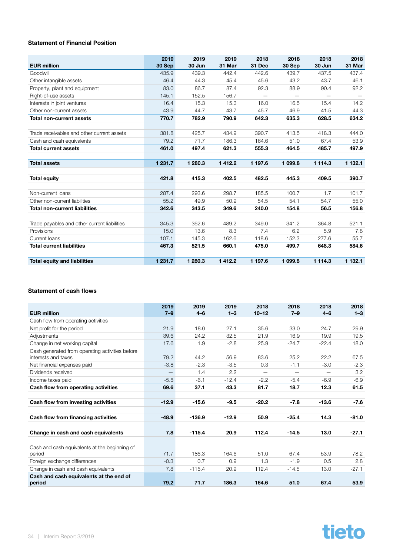#### Statement of Financial Position

| <b>EUR million</b>                           | 2019<br>30 Sep | 2019<br>30 Jun | 2019<br>31 Mar | 2018<br>31 Dec           | 2018<br>30 Sep | 2018<br>30 Jun           | 2018<br>31 Mar |
|----------------------------------------------|----------------|----------------|----------------|--------------------------|----------------|--------------------------|----------------|
| Goodwill                                     | 435.9          | 439.3          | 442.4          | 442.6                    | 439.7          | 437.5                    | 437.4          |
| Other intangible assets                      | 46.4           | 44.3           | 45.4           | 45.6                     | 43.2           | 43.7                     | 46.1           |
| Property, plant and equipment                | 83.0           | 86.7           | 87.4           | 92.3                     | 88.9           | 90.4                     | 92.2           |
| Right-of-use assets                          | 145.1          | 152.5          | 156.7          | $\overline{\phantom{0}}$ |                | $\overline{\phantom{0}}$ |                |
| Interests in joint ventures                  | 16.4           | 15.3           | 15.3           | 16.0                     | 16.5           | 15.4                     | 14.2           |
| Other non-current assets                     | 43.9           | 44.7           | 43.7           | 45.7                     | 46.9           | 41.5                     | 44.3           |
| <b>Total non-current assets</b>              | 770.7          | 782.9          | 790.9          | 642.3                    | 635.3          | 628.5                    | 634.2          |
|                                              |                |                |                |                          |                |                          |                |
| Trade receivables and other current assets   | 381.8          | 425.7          | 434.9          | 390.7                    | 413.5          | 418.3                    | 444.0          |
| Cash and cash equivalents                    | 79.2           | 71.7           | 186.3          | 164.6                    | 51.0           | 67.4                     | 53.9           |
| <b>Total current assets</b>                  | 461.0          | 497.4          | 621.3          | 555.3                    | 464.5          | 485.7                    | 497.9          |
|                                              |                |                |                |                          |                |                          |                |
| <b>Total assets</b>                          | 1 231.7        | 1 280.3        | 1412.2         | 1 197.6                  | 1 099.8        | 1 1 1 4 .3               | 1 132.1        |
|                                              |                |                |                |                          |                |                          |                |
| <b>Total equity</b>                          | 421.8          | 415.3          | 402.5          | 482.5                    | 445.3          | 409.5                    | 390.7          |
|                                              |                |                |                |                          |                |                          |                |
| Non-current loans                            | 287.4          | 293.6          | 298.7          | 185.5                    | 100.7          | 1.7                      | 101.7          |
| Other non-current liabilities                | 55.2           | 49.9           | 50.9           | 54.5                     | 54.1           | 54.7                     | 55.0           |
| <b>Total non-current liabilities</b>         | 342.6          | 343.5          | 349.6          | 240.0                    | 154.8          | 56.5                     | 156.8          |
|                                              |                |                |                |                          |                |                          |                |
| Trade payables and other current liabilities | 345.3          | 362.6          | 489.2          | 349.0                    | 341.2          | 364.8                    | 521.1          |
| Provisions                                   | 15.0           | 13.6           | 8.3            | 7.4                      | 6.2            | 5.9                      | 7.8            |
| Current Ioans                                | 107.1          | 145.3          | 162.6          | 118.6                    | 152.3          | 277.6                    | 55.7           |
| <b>Total current liabilities</b>             | 467.3          | 521.5          | 660.1          | 475.0                    | 499.7          | 648.3                    | 584.6          |
|                                              |                |                |                |                          |                |                          |                |
| <b>Total equity and liabilities</b>          | 1 231.7        | 1 280.3        | 1412.2         | 1 197.6                  | 1 099.8        | 1 1 1 4 .3               | 1 132.1        |

#### Statement of cash flows

| <b>EUR million</b>                                                     | 2019<br>$7 - 9$ | 2019<br>$4 - 6$ | 2019<br>$1 - 3$ | 2018<br>$10 - 12$ | 2018<br>$7 - 9$ | 2018<br>$4 - 6$ | 2018<br>$1 - 3$ |
|------------------------------------------------------------------------|-----------------|-----------------|-----------------|-------------------|-----------------|-----------------|-----------------|
| Cash flow from operating activities                                    |                 |                 |                 |                   |                 |                 |                 |
| Net profit for the period                                              | 21.9            | 18.0            | 27.1            | 35.6              | 33.0            | 24.7            | 29.9            |
| Adjustments                                                            | 39.6            | 24.2            | 32.5            | 21.9              | 16.9            | 19.9            | 19.5            |
| Change in net working capital                                          | 17.6            | 1.9             | $-2.8$          | 25.9              | $-24.7$         | $-22.4$         | 18.0            |
| Cash generated from operating activities before<br>interests and taxes | 79.2            | 44.2            | 56.9            | 83.6              | 25.2            | 22.2            | 67.5            |
| Net financial expenses paid                                            | $-3.8$          | $-2.3$          | $-3.5$          | 0.3               | $-1.1$          | $-3.0$          | $-2.3$          |
| Dividends received                                                     |                 | 1.4             | 2.2             |                   |                 |                 | 3.2             |
| Income taxes paid                                                      | $-5.8$          | $-6.1$          | $-12.4$         | $-2.2$            | $-5.4$          | $-6.9$          | $-6.9$          |
| Cash flow from operating activities                                    | 69.6            | 37.1            | 43.3            | 81.7              | 18.7            | 12.3            | 61.5            |
| Cash flow from investing activities                                    | $-12.9$         | $-15.6$         | $-9.5$          | $-20.2$           | $-7.8$          | $-13.6$         | $-7.6$          |
| Cash flow from financing activities                                    | $-48.9$         | $-136.9$        | $-12.9$         | 50.9              | $-25.4$         | 14.3            | $-81.0$         |
| Change in cash and cash equivalents                                    | 7.8             | $-115.4$        | 20.9            | 112.4             | $-14.5$         | 13.0            | $-27.1$         |
| Cash and cash equivalents at the beginning of<br>period                | 71.7            | 186.3           | 164.6           | 51.0              | 67.4            | 53.9            | 78.2            |
| Foreign exchange differences                                           | $-0.3$          | 0.7             | 0.9             | 1.3               | $-1.9$          | 0.5             | 2.8             |
| Change in cash and cash equivalents                                    | 7.8             | $-115.4$        | 20.9            | 112.4             | $-14.5$         | 13.0            | $-27.1$         |
| Cash and cash equivalents at the end of<br>period                      | 79.2            | 71.7            | 186.3           | 164.6             | 51.0            | 67.4            | 53.9            |

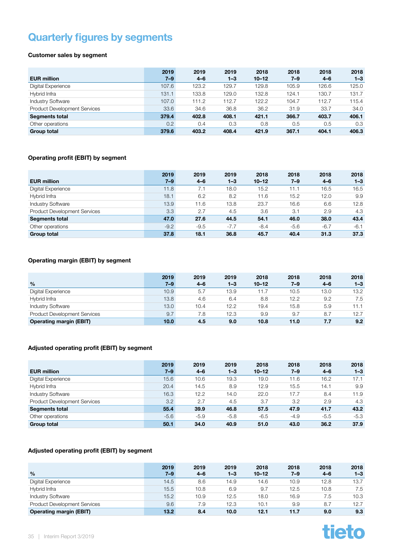### <span id="page-34-0"></span>Quarterly figures by segments

#### Customer sales by segment

|                                     | 2019             | 2019    | 2019    | 2018      | 2018    | 2018    | 2018    |
|-------------------------------------|------------------|---------|---------|-----------|---------|---------|---------|
| <b>EUR million</b>                  | $7 - 9$          | $4 - 6$ | $1 - 3$ | $10 - 12$ | $7 - 9$ | $4 - 6$ | $1 - 3$ |
| Digital Experience                  | 107.6            | 123.2   | 129.7   | 129.8     | 105.9   | 126.6   | 125.0   |
| Hybrid Infra                        | 131.1            | 133.8   | 129.0   | 132.8     | 124.1   | 130.7   | 131.7   |
| <b>Industry Software</b>            | 107.0            | 111.2   | 112.7   | 122.2     | 104.7   | 112.7   | 115.4   |
| <b>Product Development Services</b> | 33.6             | 34.6    | 36.8    | 36.2      | 31.9    | 33.7    | 34.0    |
| <b>Segments total</b>               | 379.4            | 402.8   | 408.1   | 421.1     | 366.7   | 403.7   | 406.1   |
| Other operations                    | 0.2 <sub>0</sub> | 0.4     | 0.3     | 0.8       | 0.5     | 0.5     | 0.3     |
| <b>Group total</b>                  | 379.6            | 403.2   | 408.4   | 421.9     | 367.1   | 404.1   | 406.3   |

#### Operating profit (EBIT) by segment

| <b>EUR million</b>                  | 2019<br>$7 - 9$ | 2019<br>$4 - 6$ | 2019<br>$1 - 3$ | 2018<br>$10 - 12$ | 2018<br>7–9 | 2018<br>$4 - 6$ | 2018<br>$1 - 3$ |
|-------------------------------------|-----------------|-----------------|-----------------|-------------------|-------------|-----------------|-----------------|
| Digital Experience                  | 11.8            | 7.1             | 18.0            | 15.2              | 11.1        | 16.5            | 16.5            |
| Hybrid Infra                        | 18.1            | 6.2             | 8.2             | 11.6              | 15.2        | 12.0            | 9.9             |
| <b>Industry Software</b>            | 13.9            | 11.6            | 13.8            | 23.7              | 16.6        | 6.6             | 12.8            |
| <b>Product Development Services</b> | 3.3             | 2.7             | 4.5             | 3.6               | 3.1         | 2.9             | 4.3             |
| <b>Segments total</b>               | 47.0            | 27.6            | 44.5            | 54.1              | 46.0        | 38.0            | 43.4            |
| Other operations                    | $-9.2$          | $-9.5$          | $-7.7$          | $-8.4$            | $-5.6$      | $-6.7$          | $-6.1$          |
| <b>Group total</b>                  | 37.8            | 18.1            | 36.8            | 45.7              | 40.4        | 31.3            | 37.3            |

#### Operating margin (EBIT) by segment

|                                     | 2019    | 2019    | 2019    | 2018      | 2018    | 2018    | 2018    |
|-------------------------------------|---------|---------|---------|-----------|---------|---------|---------|
| $\frac{0}{0}$                       | $7 - 9$ | $4 - 6$ | $1 - 3$ | $10 - 12$ | $7 - 9$ | $4 - 6$ | $1 - 3$ |
| Digital Experience                  | 10.9    | 5.7     | 13.9    | 11.7      | 10.5    | 13.0    | 13.2    |
| Hybrid Infra                        | 13.8    | 4.6     | 6.4     | 8.8       | 12.2    | 9.2     | 7.5     |
| <b>Industry Software</b>            | 13.0    | 10.4    | 12.2    | 19.4      | 15.8    | 5.9     | 11.1    |
| <b>Product Development Services</b> | 9.7     | 7.8     | 12.3    | 9.9       | 9.7     | 8.7     | 12.7    |
| <b>Operating margin (EBIT)</b>      | 10.0    | 4.5     | 9.0     | 10.8      | 11.0    | 7.7     | 9.2     |

#### Adjusted operating profit (EBIT) by segment

| <b>EUR million</b>                  | 2019<br>$7 - 9$ | 2019<br>$4 - 6$ | 2019<br>$1 - 3$ | 2018<br>$10 - 12$ | 2018<br>$7 - 9$ | 2018<br>$4 - 6$ | 2018<br>$1 - 3$ |
|-------------------------------------|-----------------|-----------------|-----------------|-------------------|-----------------|-----------------|-----------------|
| Digital Experience                  | 15.6            | 10.6            | 19.3            | 19.0              | 11.6            | 16.2            | 17.1            |
| Hybrid Infra                        | 20.4            | 14.5            | 8.9             | 12.9              | 15.5            | 14.1            | 9.9             |
| <b>Industry Software</b>            | 16.3            | 12.2            | 14.0            | 22.0              | 17.7            | 8.4             | 11.9            |
| <b>Product Development Services</b> | 3.2             | 2.7             | 4.5             | 3.7               | 3.2             | 2.9             | 4.3             |
| <b>Segments total</b>               | 55.4            | 39.9            | 46.8            | 57.5              | 47.9            | 41.7            | 43.2            |
| Other operations                    | $-5.6$          | $-5.9$          | $-5.8$          | $-6.5$            | $-4.9$          | $-5.5$          | $-5.3$          |
| <b>Group total</b>                  | 50.1            | 34.0            | 40.9            | 51.0              | 43.0            | 36.2            | 37.9            |

#### Adjusted operating profit (EBIT) by segment

|                                     | 2019    | 2019    | 2019    | 2018      | 2018    | 2018    | 2018    |
|-------------------------------------|---------|---------|---------|-----------|---------|---------|---------|
| $\frac{0}{0}$                       | $7 - 9$ | $4 - 6$ | $1 - 3$ | $10 - 12$ | $7 - 9$ | $4 - 6$ | $1 - 3$ |
| Digital Experience                  | 14.5    | 8.6     | 14.9    | 14.6      | 10.9    | 12.8    | 13.7    |
| Hybrid Infra                        | 15.5    | 10.8    | 6.9     | 9.7       | 12.5    | 10.8    | 7.5     |
| <b>Industry Software</b>            | 15.2    | 10.9    | 12.5    | 18.0      | 16.9    | 7.5     | 10.3    |
| <b>Product Development Services</b> | 9.6     | 7.9     | 12.3    | 10.1      | 9.9     | 8.7     | 12.7    |
| <b>Operating margin (EBIT)</b>      | 13.2    | 8.4     | 10.0    | 12.1      | 11.7    | 9.0     | 9.3     |

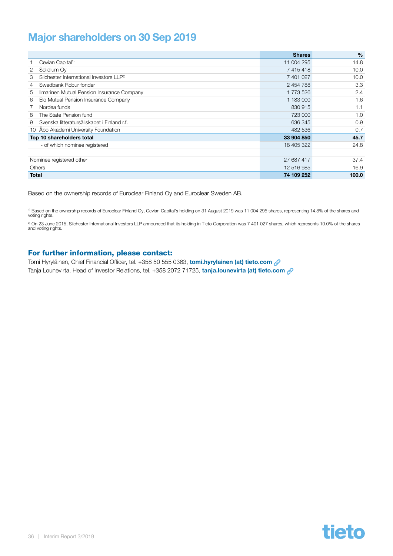### <span id="page-35-0"></span>Major shareholders on 30 Sep 2019

|                                                           | <b>Shares</b> | $\frac{9}{6}$ |
|-----------------------------------------------------------|---------------|---------------|
| Cevian Capital <sup>1)</sup>                              | 11 004 295    | 14.8          |
| Solidium Ov<br>2                                          | 7415418       | 10.0          |
| Silchester International Investors LLP <sup>2)</sup><br>3 | 7 401 027     | 10.0          |
| Swedbank Robur fonder<br>4                                | 2 454 788     | 3.3           |
| Ilmarinen Mutual Pension Insurance Company<br>5           | 1773526       | 2.4           |
| Elo Mutual Pension Insurance Company<br>6                 | 1 183 000     | 1.6           |
| Nordea funds                                              | 830 915       | 1.1           |
| The State Pension fund<br>8                               | 723 000       | 1.0           |
| Svenska litteratursällskapet i Finland r.f.<br>9          | 636 345       | 0.9           |
| 10 Åbo Akademi University Foundation                      | 482 536       | 0.7           |
| Top 10 shareholders total                                 | 33 904 850    | 45.7          |
| - of which nominee registered                             | 18 405 322    | 24.8          |
|                                                           |               |               |
| Nominee registered other                                  | 27 687 417    | 37.4          |
| Others                                                    | 12 516 985    | 16.9          |
| <b>Total</b>                                              | 74 109 252    | 100.0         |

Based on the ownership records of Euroclear Finland Oy and Euroclear Sweden AB.

<sup>1)</sup> Based on the ownership records of Euroclear Finland Oy, Cevian Capital's holding on 31 August 2019 was 11 004 295 shares, representing 14.8% of the shares and<br>voting rights.

<sup>2)</sup> On 23 June 2015, Silchester International Investors LLP announced that its holding in Tieto Corporation was 7 401 027 shares, which represents 10.0% of the shares and voting rights.

#### For further information, please contact:

Tomi Hyryläinen, Chief Financial Officer, tel. +358 50 555 0363, [tomi.hyrylainen \(at\) tieto.com](mailto:tomi.hyrylainen%40tieto.com?subject=)  $\mathcal{P}$ Tanja Lounevirta, Head of Investor Relations, tel. +358 2072 71725, [tanja.lounevirta \(at\) tieto.com](mailto:tanja.lounevirta%40tieto.com?subject=) 2